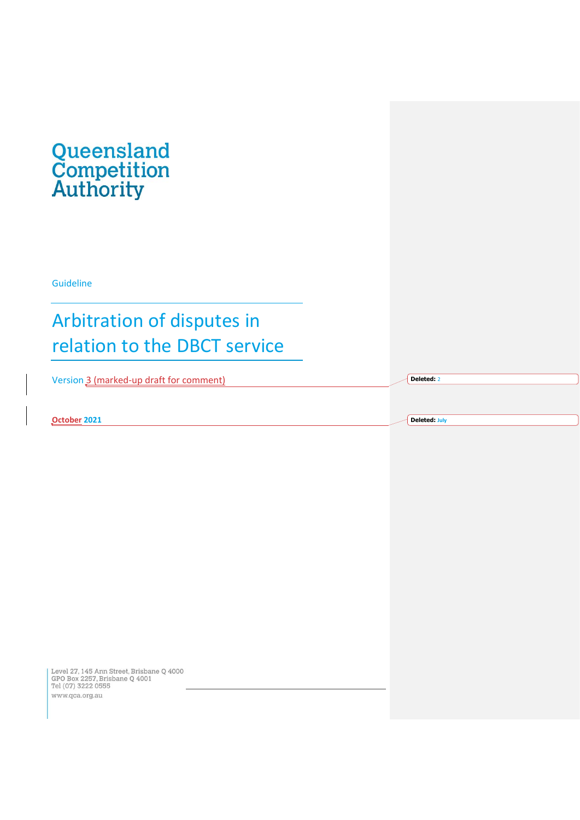

Guideline

# Arbitration of disputes in relation to the DBCT service

Version 3 (marked-up draft for comment)

**October 2021**

**Deleted: July**

**Deleted:** 2

Level 27, 145 Ann Street, Brisbane Q 4000<br>GPO Box 2257, Brisbane Q 4001<br>Tel (07) 3222 0555 www.qca.org.au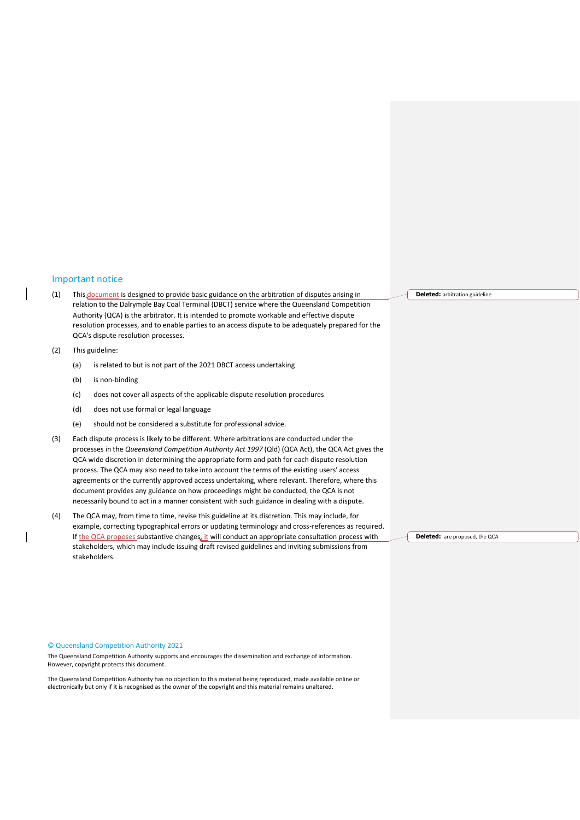#### <span id="page-1-0"></span>Important notice

- (1) This document is designed to provide basic guidance on the arbitration of disputes arising in relation to the Dalrymple Bay Coal Terminal (DBCT) service where the Queensland Competition Authority (QCA) is the arbitrator. It is intended to promote workable and effective dispute resolution processes, and to enable parties to an access dispute to be adequately prepared for the QCA's dispute resolution processes.
- (2) This guideline:
	- (a) is related to but is not part of the 2021 DBCT access undertaking
	- (b) is non-binding
	- (c) does not cover all aspects of the applicable dispute resolution procedures
	- (d) does not use formal or legal language
	- (e) should not be considered a substitute for professional advice.
- (3) Each dispute process is likely to be different. Where arbitrations are conducted under the processes in the *Queensland Competition Authority Act 1997* (Qld) (QCA Act), the QCA Act gives the QCA wide discretion in determining the appropriate form and path for each dispute resolution process. The QCA may also need to take into account the terms of the existing users' access agreements or the currently approved access undertaking, where relevant. Therefore, where this document provides any guidance on how proceedings might be conducted, the QCA is not necessarily bound to act in a manner consistent with such guidance in dealing with a dispute.
- (4) The QCA may, from time to time, revise this guideline at its discretion. This may include, for example, correcting typographical errors or updating terminology and cross-references as required. If the QCA proposes substantive changes, it will conduct an appropriate consultation process with stakeholders, which may include issuing draft revised guidelines and inviting submissions from stakeholders.

**Deleted:** arbitration guideline

**Deleted:** are proposed, the QCA

#### © Queensland Competition Authority 2021

The Queensland Competition Authority supports and encourages the dissemination and exchange of information. However, copyright protects this document.

electronically but only if it is recognised as the owner of the copyright and this material remains unaltered. The Queensland Competition Authority has no objection to this material being reproduced, made available online or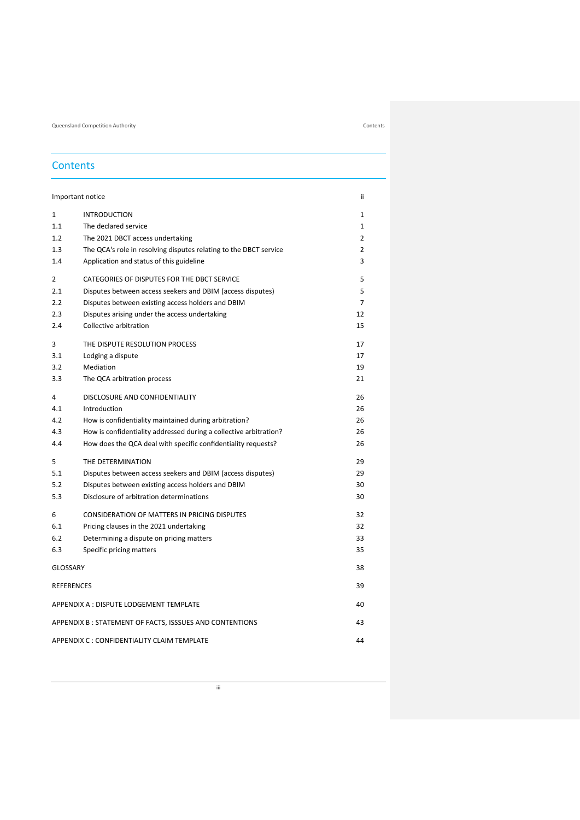Queensland Competition Authority Contents

## **Contents**

|                   | Important notice                                                  | ii             |
|-------------------|-------------------------------------------------------------------|----------------|
| 1                 | <b>INTRODUCTION</b>                                               | $\mathbf{1}$   |
| 1.1               | The declared service                                              | $\mathbf{1}$   |
| 1.2               | The 2021 DBCT access undertaking                                  | $\overline{2}$ |
| 1.3               | The QCA's role in resolving disputes relating to the DBCT service | 2              |
| 1.4               | Application and status of this guideline                          | 3              |
|                   |                                                                   |                |
| 2                 | CATEGORIES OF DISPUTES FOR THE DBCT SERVICE                       | 5              |
| 2.1               | Disputes between access seekers and DBIM (access disputes)        | 5              |
| 2.2               | Disputes between existing access holders and DBIM                 | $\overline{7}$ |
| 2.3               | Disputes arising under the access undertaking                     | 12             |
| 2.4               | Collective arbitration                                            | 15             |
| 3                 | THE DISPUTE RESOLUTION PROCESS                                    | 17             |
| 3.1               | Lodging a dispute                                                 | 17             |
| 3.2               | Mediation                                                         | 19             |
| 3.3               | The QCA arbitration process                                       | 21             |
| 4                 | DISCLOSURE AND CONFIDENTIALITY                                    | 26             |
| 4.1               | Introduction                                                      | 26             |
| 4.2               | How is confidentiality maintained during arbitration?             | 26             |
| 4.3               | How is confidentiality addressed during a collective arbitration? | 26             |
| 4.4               | How does the QCA deal with specific confidentiality requests?     | 26             |
| 5                 | THE DETERMINATION                                                 | 29             |
| 5.1               | Disputes between access seekers and DBIM (access disputes)        | 29             |
| 5.2               | Disputes between existing access holders and DBIM                 | 30             |
| 5.3               | Disclosure of arbitration determinations                          | 30             |
| 6                 | <b>CONSIDERATION OF MATTERS IN PRICING DISPUTES</b>               | 32             |
| 6.1               | Pricing clauses in the 2021 undertaking                           | 32             |
| 6.2               | Determining a dispute on pricing matters                          | 33             |
| 6.3               | Specific pricing matters                                          | 35             |
| <b>GLOSSARY</b>   |                                                                   | 38             |
| <b>REFERENCES</b> |                                                                   | 39             |
|                   |                                                                   |                |
|                   | APPENDIX A : DISPUTE LODGEMENT TEMPLATE                           | 40             |
|                   | APPENDIX B: STATEMENT OF FACTS, ISSSUES AND CONTENTIONS           | 43             |
|                   | APPENDIX C : CONFIDENTIALITY CLAIM TEMPLATE                       | 44             |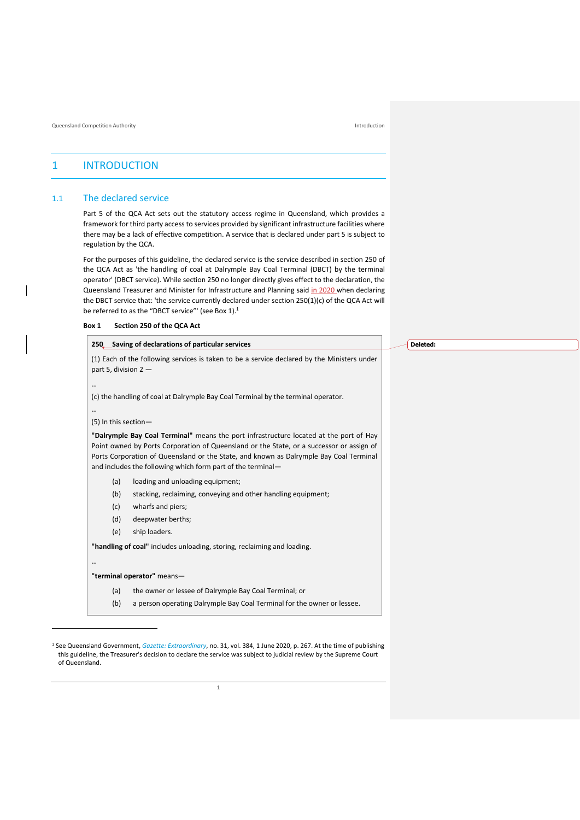## <span id="page-3-0"></span>1 INTRODUCTION

### <span id="page-3-1"></span>1.1 The declared service

Part 5 of the QCA Act sets out the statutory access regime in Queensland, which provides a framework for third party access to services provided by significant infrastructure facilities where there may be a lack of effective competition. A service that is declared under part 5 is subject to regulation by the QCA.

For the purposes of this guideline, the declared service is the service described in section 250 of the QCA Act as 'the handling of coal at Dalrymple Bay Coal Terminal (DBCT) by the terminal operator' (DBCT service). While section 250 no longer directly gives effect to the declaration, the Queensland Treasurer and Minister for Infrastructure and Planning said in 2020 when declaring the DBCT service that: 'the service currently declared under section 250(1)(c) of the QCA Act will be referred to as the "DBCT service"' (see Box 1).<sup>1</sup>

| Box 1 | Section 250 of the QCA Act |  |
|-------|----------------------------|--|
|-------|----------------------------|--|

| 250 Saving of declarations of particular services                                                                                                                                                                                                                                                                                           | Deleted: |
|---------------------------------------------------------------------------------------------------------------------------------------------------------------------------------------------------------------------------------------------------------------------------------------------------------------------------------------------|----------|
| (1) Each of the following services is taken to be a service declared by the Ministers under<br>part 5, division $2 -$                                                                                                                                                                                                                       |          |
|                                                                                                                                                                                                                                                                                                                                             |          |
| (c) the handling of coal at Dalrymple Bay Coal Terminal by the terminal operator.                                                                                                                                                                                                                                                           |          |
| $\cdots$                                                                                                                                                                                                                                                                                                                                    |          |
| (5) In this section-                                                                                                                                                                                                                                                                                                                        |          |
| "Dalrymple Bay Coal Terminal" means the port infrastructure located at the port of Hay<br>Point owned by Ports Corporation of Queensland or the State, or a successor or assign of<br>Ports Corporation of Queensland or the State, and known as Dalrymple Bay Coal Terminal<br>and includes the following which form part of the terminal- |          |
| (a)<br>loading and unloading equipment;                                                                                                                                                                                                                                                                                                     |          |
| (b)<br>stacking, reclaiming, conveying and other handling equipment;                                                                                                                                                                                                                                                                        |          |
| (c)<br>wharfs and piers;                                                                                                                                                                                                                                                                                                                    |          |
| (d)<br>deepwater berths;                                                                                                                                                                                                                                                                                                                    |          |
| (e)<br>ship loaders.                                                                                                                                                                                                                                                                                                                        |          |
| "handling of coal" includes unloading, storing, reclaiming and loading.                                                                                                                                                                                                                                                                     |          |
| $\cdots$                                                                                                                                                                                                                                                                                                                                    |          |
| "terminal operator" means-                                                                                                                                                                                                                                                                                                                  |          |
| (a)<br>the owner or lessee of Dalrymple Bay Coal Terminal; or                                                                                                                                                                                                                                                                               |          |
| (b)<br>a person operating Dalrymple Bay Coal Terminal for the owner or lessee.                                                                                                                                                                                                                                                              |          |

<sup>1</sup> See Queensland Government, *[Gazette: Extraordinary](https://www.publications.qld.gov.au/dataset/extraordinary-gazettes-june-2020/resource/9c57ea19-3f3f-4650-8836-6ff45f1a9439)*, no. 31, vol. 384, 1 June 2020, p. 267. At the time of publishing this guideline, the Treasurer's decision to declare the service was subject to judicial review by the Supreme Court of Queensland.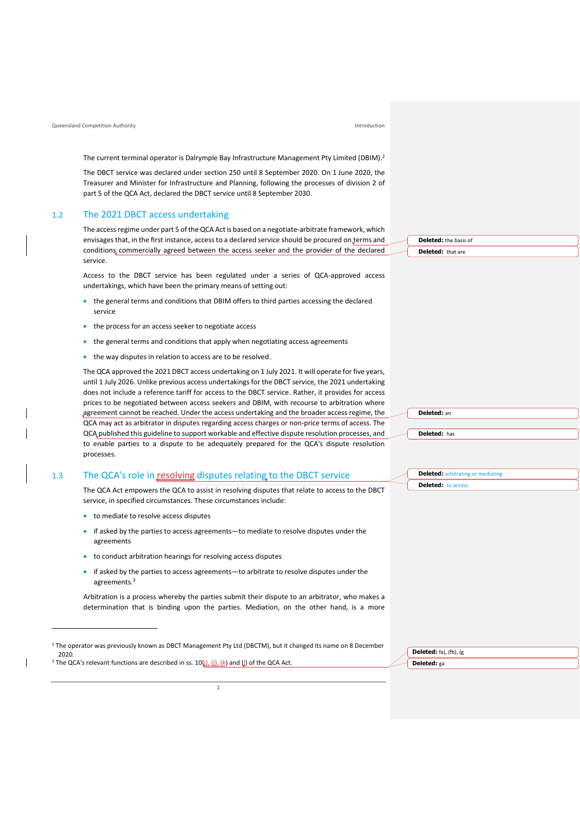#### Queensland Competition Authority Introduction

The current terminal operator is Dalrymple Bay Infrastructure Management Pty Limited (DBIM).<sup>2</sup>

The DBCT service was declared under section 250 until 8 September 2020. On 1 June 2020, the Treasurer and Minister for Infrastructure and Planning, following the processes of division 2 of part 5 of the QCA Act, declared the DBCT service until 8 September 2030.

#### <span id="page-4-0"></span>1.2 The 2021 DBCT access undertaking

The access regime under part 5 of the QCA Act is based on a negotiate-arbitrate framework, which envisages that, in the first instance, access to a declared service should be procured on terms and conditions commercially agreed between the access seeker and the provider of the declared service.

Access to the DBCT service has been regulated under a series of QCA-approved access undertakings, which have been the primary means of setting out:

- the general terms and conditions that DBIM offers to third parties accessing the declared service
- the process for an access seeker to negotiate access
- the general terms and conditions that apply when negotiating access agreements
- the way disputes in relation to access are to be resolved.

The QCA approved the 2021 DBCT access undertaking on 1 July 2021. It will operate for five years, until 1 July 2026. Unlike previous access undertakings for the DBCT service, the 2021 undertaking does not include a reference tariff for access to the DBCT service. Rather, it provides for access prices to be negotiated between access seekers and DBIM, with recourse to arbitration where agreement cannot be reached. Under the access undertaking and the broader access regime, the QCA may act as arbitrator in disputes regarding access charges or non-price terms of access. The QCA published this guideline to support workable and effective dispute resolution processes, and to enable parties to a dispute to be adequately prepared for the QCA's dispute resolution processes.

#### <span id="page-4-1"></span>1.3 The QCA's role in resolving disputes relating to the DBCT service

The QCA Act empowers the QCA to assist in resolving disputes that relate to access to the DBCT service, in specified circumstances. These circumstances include:

- to mediate to resolve access disputes
- if asked by the parties to access agreements—to mediate to resolve disputes under the agreements
- to conduct arbitration hearings for resolving access disputes
- if asked by the parties to access agreements—to arbitrate to resolve disputes under the agreements.<sup>3</sup>

Arbitration is a process whereby the parties submit their dispute to an arbitrator, who makes a determination that is binding upon the parties. Mediation, on the other hand, is a more

<sup>3</sup> The QCA's relevant functions are described in ss.  $10(j)$ , (i), (k) and (l) of the QCA Act.

**Deleted:** the basis of **Deleted:** that are



| <b>Deleted:</b> arbitrating or mediating |
|------------------------------------------|
| <b>Deleted:</b> to access                |

| Deleted: fa), (fb), (g |
|------------------------|
| Deleted: ga            |

<sup>&</sup>lt;sup>2</sup> The operator was previously known as DBCT Management Pty Ltd (DBCTM), but it changed its name on 8 December 2020.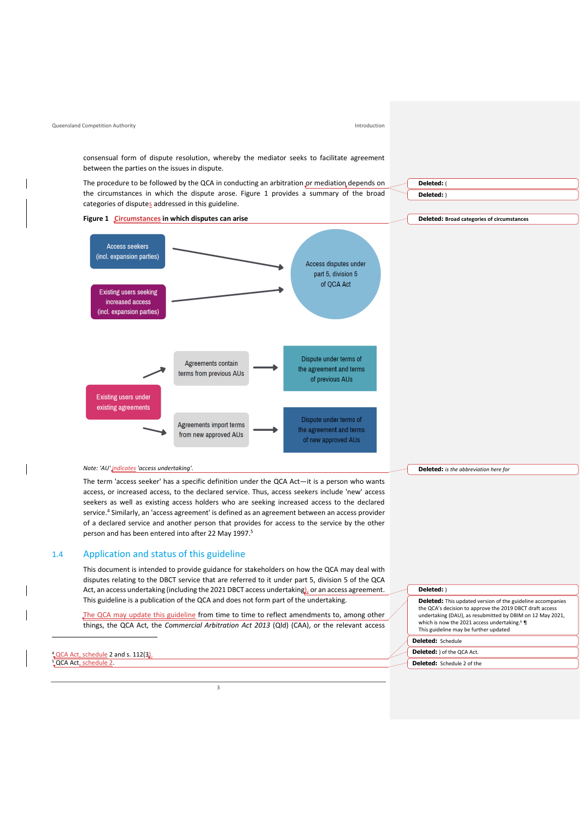<span id="page-5-0"></span>consensual form of dispute resolution, whereby the mediator seeks to facilitate agreement between the parties on the issues in dispute. The procedure to be followed by the QCA in conducting an arbitration or mediation depends on **Deleted:** ( the circumstances in which the dispute arose. Figure 1 provides a summary of the broad **Deleted:** ) categories of disputes addressed in this guideline. **Figure 1 Circumstances in which disputes can arise Deleted: Broad categories of circumstances Access seekers** (incl. expansion parties) Access disputes under part 5, division 5 of OCA Act **Existing users seeking** increased access (incl. expansion parties) Dispute under terms of Agreements contain the agreement and terms terms from previous AUs of previous AUs **Existing users under** existing agreements Dispute under terms of Agreements import terms the agreement and terms from new approved AUs of new approved AUs *Note: 'AU' indicates 'access undertaking'.* **Deleted:** *is the abbreviation here for* The term 'access seeker' has a specific definition under the QCA Act—it is a person who wants access, or increased access, to the declared service. Thus, access seekers include 'new' access seekers as well as existing access holders who are seeking increased access to the declared service.<sup>4</sup> Similarly, an 'access agreement' is defined as an agreement between an access provider of a declared service and another person that provides for access to the service by the other person and has been entered into after 22 May 1997.<sup>5</sup> 1.4 Application and status of this guideline This document is intended to provide guidance for stakeholders on how the QCA may deal with disputes relating to the DBCT service that are referred to it under part 5, division 5 of the QCA Act, an access undertaking (including the 2021 DBCT access undertaking), or an access agreement. **Deleted:** ) This guideline is a publication of the QCA and does not form part of the undertaking. **Deleted:** This updated version of the guideline accompanies the QCA's decision to approve the 2019 DBCT draft access undertaking (DAU), as resubmitted by DBIM on 12 May 2021, The QCA may update this guideline from time to time to reflect amendments to, among other which is now the 2021 access undertaking. <sup>6</sup> ¶ things, the QCA Act, the *Commercial Arbitration Act 2013* (Qld) (CAA), or the relevant access This guideline may be further updated **Deleted:** Schedule QCA Act, schedule 2 and s. 112(3). **Deleted:** ) of the QCA Act. **Deleted:** Schedule 2 of the5 QCA Act, schedule 2.

Queensland Competition Authority Introduction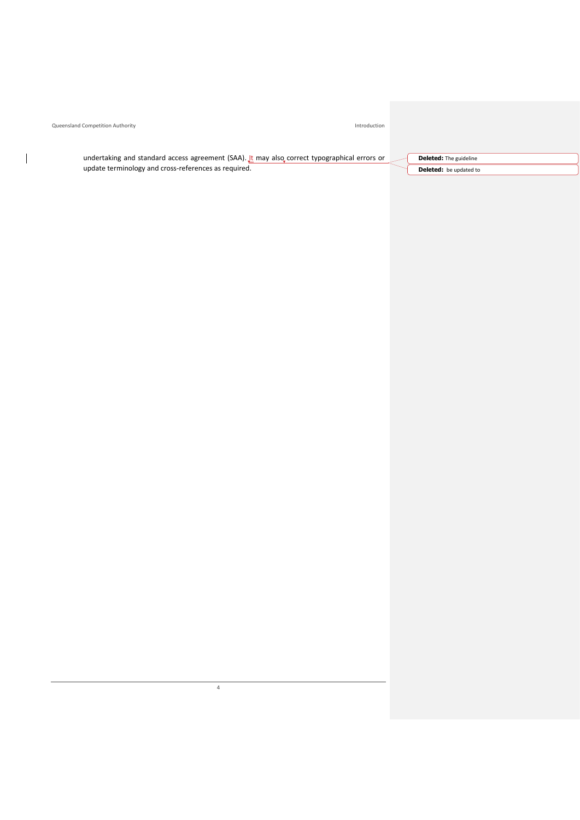Queensland Competition Authority **Introduction** 

 $\overline{\phantom{a}}$ 

undertaking and standard access agreement (SAA). It may also correct typographical errors or update terminology and cross-references as required.

**Deleted:** The guideline **Deleted:** be updated to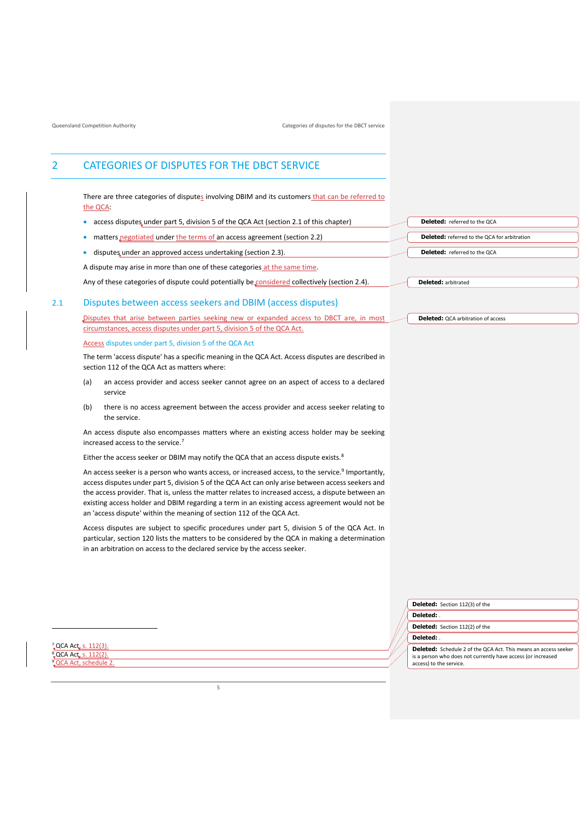## <span id="page-7-0"></span>2 CATEGORIES OF DISPUTES FOR THE DBCT SERVICE

There are three categories of disputes involving DBIM and its customers that can be referred to the QCA:

- access disputes under part 5, division 5 of the QCA Act (sectio[n 2.1](#page-7-1) of this chapter)
- matters negotiated under the terms of an access agreement (section [2.2\)](#page-9-0)
- disputes under an approved access undertaking (section [2.3\)](#page-14-0).

A dispute may arise in more than one of these categories at the same time.

Any of these categories of dispute could potentially be considered collectively (section [2.4\)](#page-17-0).

### <span id="page-7-1"></span>2.1 Disputes between access seekers and DBIM (access disputes)

Disputes that arise between parties seeking new or expanded access to DBCT are, in most circumstances, access disputes under part 5, division 5 of the QCA Act.

#### <span id="page-7-2"></span>Access disputes under part 5, division 5 of the QCA Act

The term 'access dispute' has a specific meaning in the QCA Act. Access disputes are described in section 112 of the QCA Act as matters where:

- (a) an access provider and access seeker cannot agree on an aspect of access to a declared service
- (b) there is no access agreement between the access provider and access seeker relating to the service.

An access dispute also encompasses matters where an existing access holder may be seeking increased access to the service.<sup>7</sup>

Either the access seeker or DBIM may notify the QCA that an access dispute exists.<sup>8</sup>

An access seeker is a person who wants access, or increased access, to the service.<sup>9</sup> Importantly, access disputes under part 5, division 5 of the QCA Act can only arise between access seekers and the access provider. That is, unless the matter relates to increased access, a dispute between an existing access holder and DBIM regarding a term in an existing access agreement would not be an 'access dispute' within the meaning of section 112 of the QCA Act.

Access disputes are subject to specific procedures under part 5, division 5 of the QCA Act. In particular, section 120 lists the matters to be considered by the QCA in making a determination in an arbitration on access to the declared service by the access seeker.

| <b>Deleted:</b> referred to the QCA                 |
|-----------------------------------------------------|
| <b>Deleted:</b> referred to the QCA for arbitration |
| <b>Deleted:</b> referred to the QCA                 |

**Deleted:** arbitrated

**Deleted:** OCA arbitration of access

|          | Deleted: Section 112(3) of the                                                                                                                                    |
|----------|-------------------------------------------------------------------------------------------------------------------------------------------------------------------|
| Deleted: |                                                                                                                                                                   |
|          | Deleted: Section 112(2) of the                                                                                                                                    |
| Deleted: |                                                                                                                                                                   |
|          | <b>Deleted:</b> Schedule 2 of the QCA Act. This means an access seeker<br>is a person who does not currently have access (or increased<br>access) to the service. |

<sup>7</sup><sub>v</sub>QCA Act, s. 112(3). <sup>8</sup>, QCA Act, s. 112(2). **LQCA Act, schedule 2**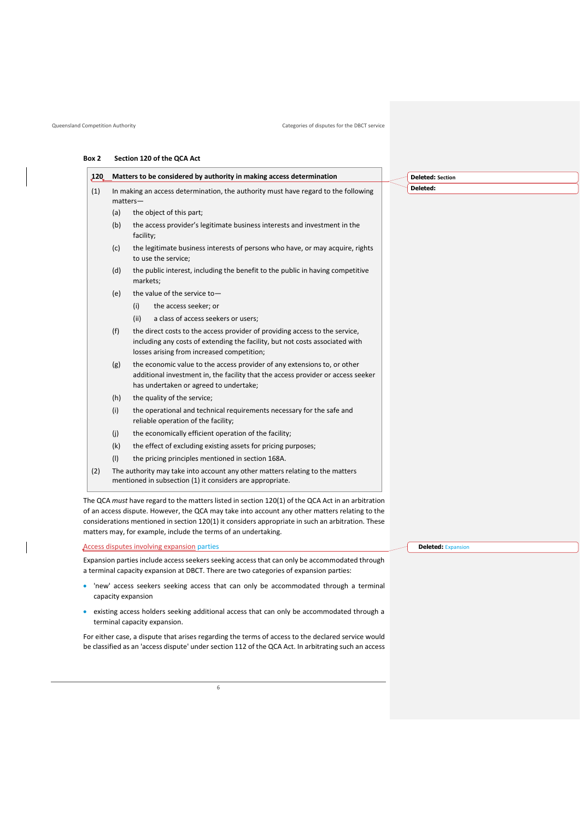#### **Box 2 Section 120 of the QCA Act**

| <b>120</b> |                                                                                                  | Matters to be considered by authority in making access determination                                                                                                                                      |  | <b>Deleted: Section</b> |
|------------|--------------------------------------------------------------------------------------------------|-----------------------------------------------------------------------------------------------------------------------------------------------------------------------------------------------------------|--|-------------------------|
| (1)        | In making an access determination, the authority must have regard to the following<br>$matters-$ |                                                                                                                                                                                                           |  | Deleted:                |
|            | (a)                                                                                              | the object of this part;                                                                                                                                                                                  |  |                         |
|            | (b)                                                                                              | the access provider's legitimate business interests and investment in the<br>facility;                                                                                                                    |  |                         |
|            | (c)                                                                                              | the legitimate business interests of persons who have, or may acquire, rights<br>to use the service;                                                                                                      |  |                         |
|            | (d)                                                                                              | the public interest, including the benefit to the public in having competitive<br>markets;                                                                                                                |  |                         |
|            | (e)                                                                                              | the value of the service to-                                                                                                                                                                              |  |                         |
|            |                                                                                                  | the access seeker; or<br>(i)                                                                                                                                                                              |  |                         |
|            |                                                                                                  | (ii)<br>a class of access seekers or users;                                                                                                                                                               |  |                         |
|            | (f)                                                                                              | the direct costs to the access provider of providing access to the service,<br>including any costs of extending the facility, but not costs associated with<br>losses arising from increased competition; |  |                         |
|            | (g)                                                                                              | the economic value to the access provider of any extensions to, or other<br>additional investment in, the facility that the access provider or access seeker<br>has undertaken or agreed to undertake;    |  |                         |
|            | (h)                                                                                              | the quality of the service;                                                                                                                                                                               |  |                         |
|            | (i)                                                                                              | the operational and technical requirements necessary for the safe and<br>reliable operation of the facility;                                                                                              |  |                         |
|            | (j)                                                                                              | the economically efficient operation of the facility;                                                                                                                                                     |  |                         |
|            | (k)                                                                                              | the effect of excluding existing assets for pricing purposes;                                                                                                                                             |  |                         |
|            | (1)                                                                                              | the pricing principles mentioned in section 168A.                                                                                                                                                         |  |                         |
| (2)        |                                                                                                  | The authority may take into account any other matters relating to the matters<br>mentioned in subsection (1) it considers are appropriate.                                                                |  |                         |

The QCA *must* have regard to the matters listed in section 120(1) of the QCA Act in an arbitration of an access dispute. However, the QCA may take into account any other matters relating to the considerations mentioned in section 120(1) it considers appropriate in such an arbitration. These matters may, for example, include the terms of an undertaking.

Access disputes involving expansion parties

Expansion parties include access seekers seeking access that can only be accommodated through a terminal capacity expansion at DBCT. There are two categories of expansion parties:

- 'new' access seekers seeking access that can only be accommodated through a terminal capacity expansion
- existing access holders seeking additional access that can only be accommodated through a terminal capacity expansion.

For either case, a dispute that arises regarding the terms of access to the declared service would be classified as an 'access dispute' under section 112 of the QCA Act. In arbitrating such an access **Deleted:** Expansion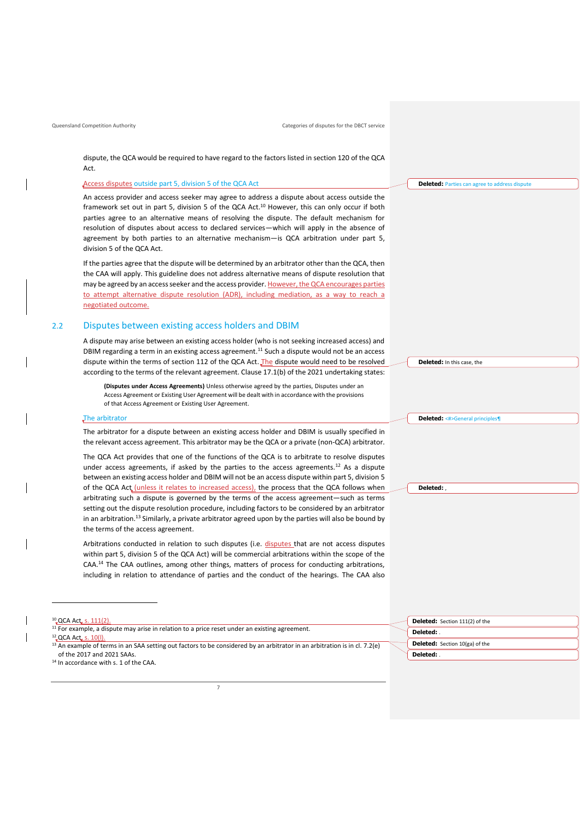dispute, the QCA would be required to have regard to the factors listed in section 120 of the QCA Act.

Access disputes outside part 5, division 5 of the QCA Act

An access provider and access seeker may agree to address a dispute about access outside the framework set out in part 5, division 5 of the QCA Act.<sup>10</sup> However, this can only occur if both parties agree to an alternative means of resolving the dispute. The default mechanism for resolution of disputes about access to declared services—which will apply in the absence of agreement by both parties to an alternative mechanism—is QCA arbitration under part 5, division 5 of the QCA Act.

If the parties agree that the dispute will be determined by an arbitrator other than the QCA, then the CAA will apply. This guideline does not address alternative means of dispute resolution that may be agreed by an access seeker and the access provider. However, the QCA encourages parties to attempt alternative dispute resolution (ADR), including mediation, as a way to reach a negotiated outcome.

### <span id="page-9-0"></span>2.2 Disputes between existing access holders and DBIM

A dispute may arise between an existing access holder (who is not seeking increased access) and DBIM regarding a term in an existing access agreement.<sup>11</sup> Such a dispute would not be an access dispute within the terms of section 112 of the QCA Act. The dispute would need to be resolved according to the terms of the relevant agreement. Clause 17.1(b) of the 2021 undertaking states:

**(Disputes under Access Agreements)** Unless otherwise agreed by the parties, Disputes under an Access Agreement or Existing User Agreement will be dealt with in accordance with the provisions of that Access Agreement or Existing User Agreement.

#### The arbitrator

The arbitrator for a dispute between an existing access holder and DBIM is usually specified in the relevant access agreement. This arbitrator may be the QCA or a private (non-QCA) arbitrator.

The QCA Act provides that one of the functions of the QCA is to arbitrate to resolve disputes under access agreements, if asked by the parties to the access agreements.<sup>12</sup> As a dispute between an existing access holder and DBIM will not be an access dispute within part 5, division 5 of the QCA Act (unless it relates to increased access), the process that the QCA follows when arbitrating such a dispute is governed by the terms of the access agreement—such as terms setting out the dispute resolution procedure, including factors to be considered by an arbitrator in an arbitration.<sup>13</sup> Similarly, a private arbitrator agreed upon by the parties will also be bound by the terms of the access agreement.

Arbitrations conducted in relation to such disputes (i.e. disputes that are not access disputes within part 5, division 5 of the QCA Act) will be commercial arbitrations within the scope of the CAA.<sup>14</sup> The CAA outlines, among other things, matters of process for conducting arbitrations, including in relation to attendance of parties and the conduct of the hearings. The CAA also

| $^{10}$ QCA Act. s. 111(2).                                                                                                                  | <b>Deleted:</b> Section 111(2) of the |
|----------------------------------------------------------------------------------------------------------------------------------------------|---------------------------------------|
| <sup>11</sup> For example, a dispute may arise in relation to a price reset under an existing agreement.<br><sup>12</sup> QCA Act, s. 10(l). | Deleted:                              |
| <sup>13</sup> An example of terms in an SAA setting out factors to be considered by an arbitrator in an arbitration is in cl. 7.2(e)         | <b>Deleted:</b> Section 10(ga) of the |
| of the 2017 and 2021 SAAs.                                                                                                                   | Deleted:                              |
| <sup>14</sup> In accordance with s. 1 of the CAA.                                                                                            |                                       |

**Deleted:** Parties can agree to address dispute

**Deleted:** In this case, the

**Deleted:** <#>General principles¶

**Deleted:** ,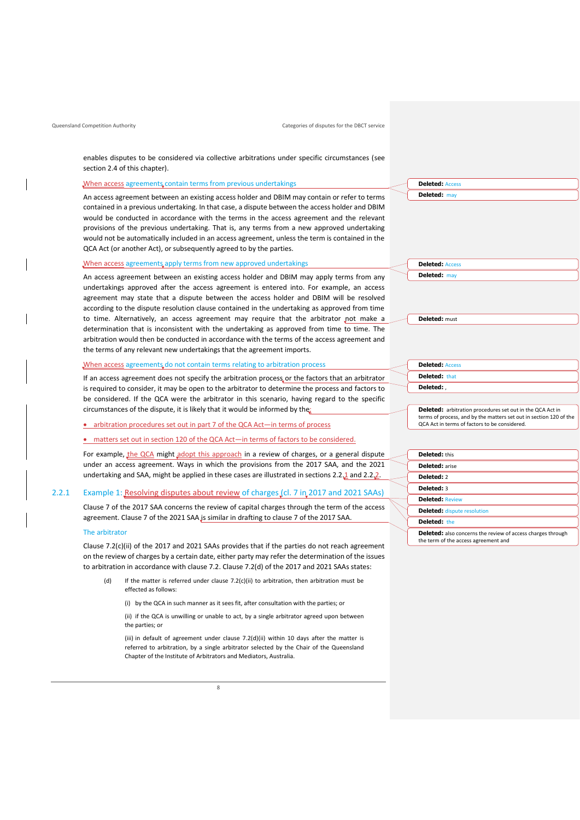enables disputes to be considered via collective arbitrations under specific circumstances (see section 2.4 of this chapter).

#### When access agreements contain terms from previous undertakings

An access agreement between an existing access holder and DBIM may contain or refer to terms contained in a previous undertaking. In that case, a dispute between the access holder and DBIM would be conducted in accordance with the terms in the access agreement and the relevant provisions of the previous undertaking. That is, any terms from a new approved undertaking would not be automatically included in an access agreement, unless the term is contained in the QCA Act (or another Act), or subsequently agreed to by the parties.

#### When access agreements apply terms from new approved undertakings

An access agreement between an existing access holder and DBIM may apply terms from any undertakings approved after the access agreement is entered into. For example, an access agreement may state that a dispute between the access holder and DBIM will be resolved according to the dispute resolution clause contained in the undertaking as approved from time to time. Alternatively, an access agreement may require that the arbitrator not make a determination that is inconsistent with the undertaking as approved from time to time. The arbitration would then be conducted in accordance with the terms of the access agreement and the terms of any relevant new undertakings that the agreement imports.

#### When access agreements do not contain terms relating to arbitration process

If an access agreement does not specify the arbitration process or the factors that an arbitrator is required to consider, it may be open to the arbitrator to determine the process and factors to be considered. If the QCA were the arbitrator in this scenario, having regard to the specific circumstances of the dispute, it is likely that it would be informed by the:

#### • arbitration procedures set out in part 7 of the QCA Act—in terms of process

#### • matters set out in section 120 of the QCA Act—in terms of factors to be considered.

For example, the QCA might adopt this approach in a review of charges, or a general dispute under an access agreement. Ways in which the provisions from the 2017 SAA, and the 2021 undertaking and SAA, might be applied in these cases are illustrated in sections 2.2.1 and 2.2.2.

#### 2.2.1 Example 1: Resolving disputes about review of charges (cl. 7 in 2017 and 2021 SAAs)

Clause 7 of the 2017 SAA concerns the review of capital charges through the term of the access agreement. Clause 7 of the 2021 SAA is similar in drafting to clause 7 of the 2017 SAA.

#### The arbitrator

Clause 7.2(c)(ii) of the 2017 and 2021 SAAs provides that if the parties do not reach agreement on the review of charges by a certain date, either party may refer the determination of the issues to arbitration in accordance with clause 7.2. Clause 7.2(d) of the 2017 and 2021 SAAs states:

- (d) If the matter is referred under clause  $7.2(c)(ii)$  to arbitration, then arbitration must be effected as follows:
	- (i) by the QCA in such manner as it sees fit, after consultation with the parties; or

(ii) if the QCA is unwilling or unable to act, by a single arbitrator agreed upon between the parties; or

(iii) in default of agreement under clause 7.2(d)(ii) within 10 days after the matter is referred to arbitration, by a single arbitrator selected by the Chair of the Queensland Chapter of the Institute of Arbitrators and Mediators, Australia.

| <b>Deleted: Access</b> |  |
|------------------------|--|
| Deleted: may           |  |

**Deleted:** may

**Deleted:** must

**Deleted:** Access

| <b>Deleted: Access</b> |  |
|------------------------|--|
| <b>Deleted: that</b>   |  |
| Deleted:               |  |

**Deleted:** arbitration procedures set out in the QCA Act in terms of process, and by the matters set out in section 120 of the QCA Act in terms of factors to be considered.

| <b>Deleted:</b> this               |  |
|------------------------------------|--|
| <b>Deleted:</b> arise              |  |
| Deleted: 2                         |  |
| <b>Deleted: 3</b>                  |  |
| <b>Deleted: Review</b>             |  |
| <b>Deleted:</b> dispute resolution |  |
| <b>Deleted:</b> the                |  |
| - - - -<br>$\sim$ $\sim$ $\sim$    |  |

Deleted: also concerns the review of access charges through the term of the access agreement and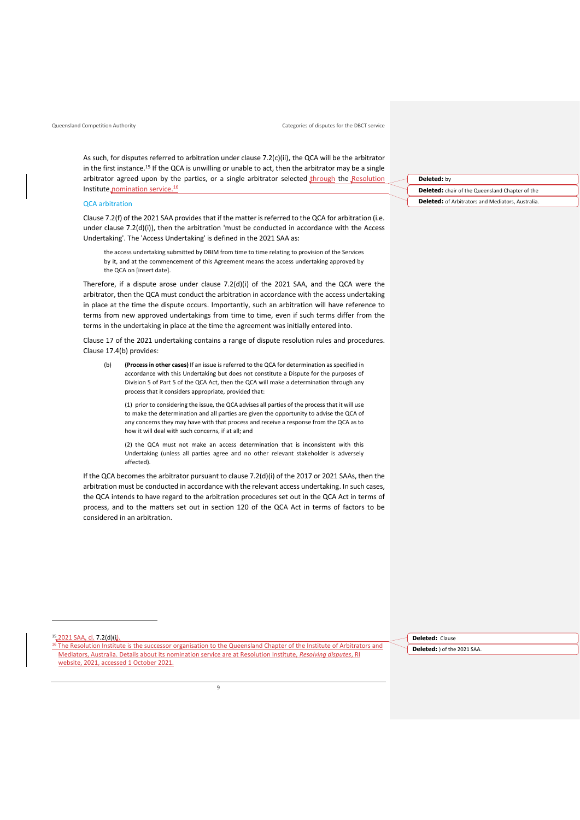As such, for disputes referred to arbitration under clause 7.2(c)(ii), the QCA will be the arbitrator in the first instance.<sup>15</sup> If the QCA is unwilling or unable to act, then the arbitrator may be a single arbitrator agreed upon by the parties, or a single arbitrator selected through the Resolution Institute nomination service.<sup>16</sup>

#### QCA arbitration

Clause 7.2(f) of the 2021 SAA provides that if the matter is referred to the QCA for arbitration (i.e. under clause 7.2(d)(i)), then the arbitration 'must be conducted in accordance with the Access Undertaking'. The 'Access Undertaking' is defined in the 2021 SAA as:

the access undertaking submitted by DBIM from time to time relating to provision of the Services by it, and at the commencement of this Agreement means the access undertaking approved by the QCA on [insert date].

Therefore, if a dispute arose under clause  $7.2(d)(i)$  of the 2021 SAA, and the QCA were the arbitrator, then the QCA must conduct the arbitration in accordance with the access undertaking in place at the time the dispute occurs. Importantly, such an arbitration will have reference to terms from new approved undertakings from time to time, even if such terms differ from the terms in the undertaking in place at the time the agreement was initially entered into.

Clause 17 of the 2021 undertaking contains a range of dispute resolution rules and procedures. Clause 17.4(b) provides:

(b) **(Process in other cases)** If an issue is referred to the QCA for determination as specified in accordance with this Undertaking but does not constitute a Dispute for the purposes of Division 5 of Part 5 of the QCA Act, then the QCA will make a determination through any process that it considers appropriate, provided that:

(1) prior to considering the issue, the QCA advises all parties of the process that it will use to make the determination and all parties are given the opportunity to advise the QCA of any concerns they may have with that process and receive a response from the QCA as to how it will deal with such concerns, if at all; and

(2) the QCA must not make an access determination that is inconsistent with this Undertaking (unless all parties agree and no other relevant stakeholder is adversely affected).

If the QCA becomesthe arbitrator pursuant to clause 7.2(d)(i) of the 2017 or 2021 SAAs, then the arbitration must be conducted in accordance with the relevant access undertaking. In such cases, the QCA intends to have regard to the arbitration procedures set out in the QCA Act in terms of process, and to the matters set out in section 120 of the QCA Act in terms of factors to be considered in an arbitration.

#### **Deleted:** by

**Deleted:** chair of the Queensland Chapter of the **Deleted:** of Arbitrators and Mediators, Australia.

15 2021 SAA, cl. 7.2(d)(i).

<sup>16</sup> The Resolution Institute is the successor organisation to the Queensland Chapter of the Institute of Arbitrators and Mediators, Australia. Details about its nomination service are at Resolution Institute, *[Resolving disputes](https://www.resolution.institute/resolving-disputes/mediation)*, RI website, 2021, accessed 1 October 2021.

**Deleted:** Clause **Deleted:** ) of the 2021 SAA.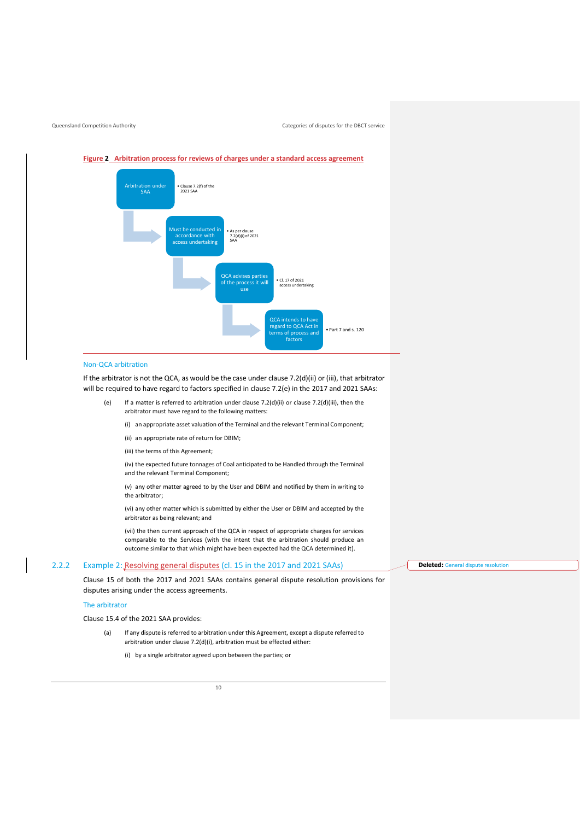

**Figure 2 Arbitration process for reviews of charges under a standard access agreement**

#### Non-QCA arbitration

If the arbitrator is not the QCA, as would be the case under clause 7.2(d)(ii) or (iii), that arbitrator will be required to have regard to factors specified in clause 7.2(e) in the 2017 and 2021 SAAs:

(e) If a matter is referred to arbitration under clause 7.2(d)(ii) or clause 7.2(d)(iii), then the arbitrator must have regard to the following matters:

(i) an appropriate asset valuation of the Terminal and the relevant Terminal Component;

(ii) an appropriate rate of return for DBIM;

(iii) the terms of this Agreement;

(iv) the expected future tonnages of Coal anticipated to be Handled through the Terminal and the relevant Terminal Component;

(v) any other matter agreed to by the User and DBIM and notified by them in writing to the arbitrator;

(vi) any other matter which is submitted by either the User or DBIM and accepted by the arbitrator as being relevant; and

(vii) the then current approach of the QCA in respect of appropriate charges for services comparable to the Services (with the intent that the arbitration should produce an outcome similar to that which might have been expected had the QCA determined it).

#### 2.2.2 Example 2: Resolving general disputes (cl. 15 in the 2017 and 2021 SAAs)

Clause 15 of both the 2017 and 2021 SAAs contains general dispute resolution provisions for disputes arising under the access agreements.

#### The arbitrator

Clause 15.4 of the 2021 SAA provides:

- (a) If any dispute is referred to arbitration under this Agreement, except a dispute referred to arbitration under clause 7.2(d)(i), arbitration must be effected either:
	- (i) by a single arbitrator agreed upon between the parties; or

**Deleted:** General dispute resolution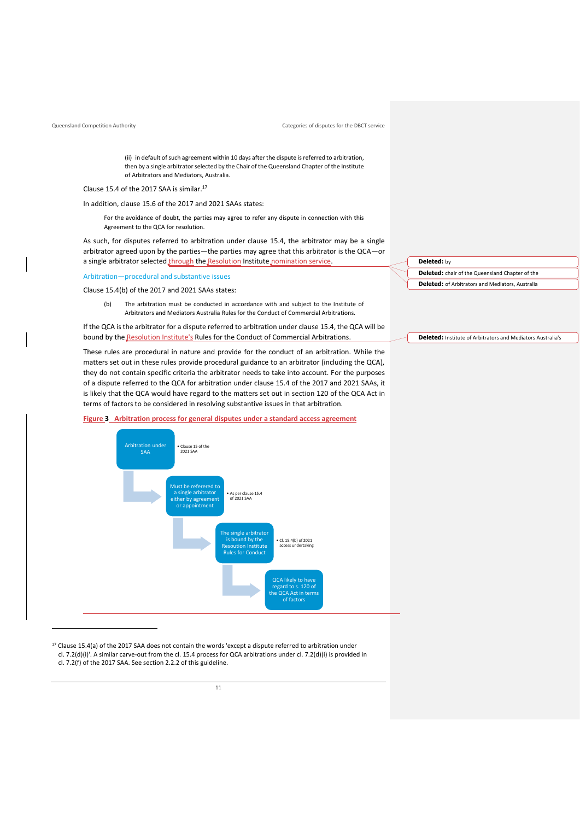Queensland Competition Authority **Categories of disputes for the DBCT service** Categories of disputes for the DBCT service

(ii) in default of such agreement within 10 days after the dispute is referred to arbitration, then by a single arbitrator selected by the Chair of the Queensland Chapter of the Institute of Arbitrators and Mediators, Australia.

Clause 15.4 of the 2017 SAA is similar. 17

In addition, clause 15.6 of the 2017 and 2021 SAAs states:

For the avoidance of doubt, the parties may agree to refer any dispute in connection with this Agreement to the QCA for resolution.

As such, for disputes referred to arbitration under clause 15.4, the arbitrator may be a single arbitrator agreed upon by the parties—the parties may agree that this arbitrator is the QCA—or a single arbitrator selected through the Resolution Institute nomination service.

Arbitration—procedural and substantive issues

Clause 15.4(b) of the 2017 and 2021 SAAs states:

(b) The arbitration must be conducted in accordance with and subject to the Institute of Arbitrators and Mediators Australia Rules for the Conduct of Commercial Arbitrations.

If the QCA is the arbitrator for a dispute referred to arbitration under clause 15.4, the QCA will be bound by the Resolution Institute's Rules for the Conduct of Commercial Arbitrations.

These rules are procedural in nature and provide for the conduct of an arbitration. While the matters set out in these rules provide procedural guidance to an arbitrator (including the QCA), they do not contain specific criteria the arbitrator needs to take into account. For the purposes of a dispute referred to the QCA for arbitration under clause 15.4 of the 2017 and 2021 SAAs, it is likely that the QCA would have regard to the matters set out in section 120 of the QCA Act in terms of factors to be considered in resolving substantive issues in that arbitration.

#### **Figure 3 Arbitration process for general disputes under a standard access agreement**



<sup>17</sup> Clause 15.4(a) of the 2017 SAA does not contain the words 'except a dispute referred to arbitration under cl. 7.2(d)(i)'. A similar carve-out from the cl. 15.4 process for QCA arbitrations under cl. 7.2(d)(i) is provided in cl. 7.2(f) of the 2017 SAA. See section 2.2.2 of this guideline.

**Deleted:** by **Deleted:** chair of the Queensland Chapter of the **Deleted:** of Arbitrators and Mediators, Australia

**Deleted:** Institute of Arbitrators and Mediators Australia's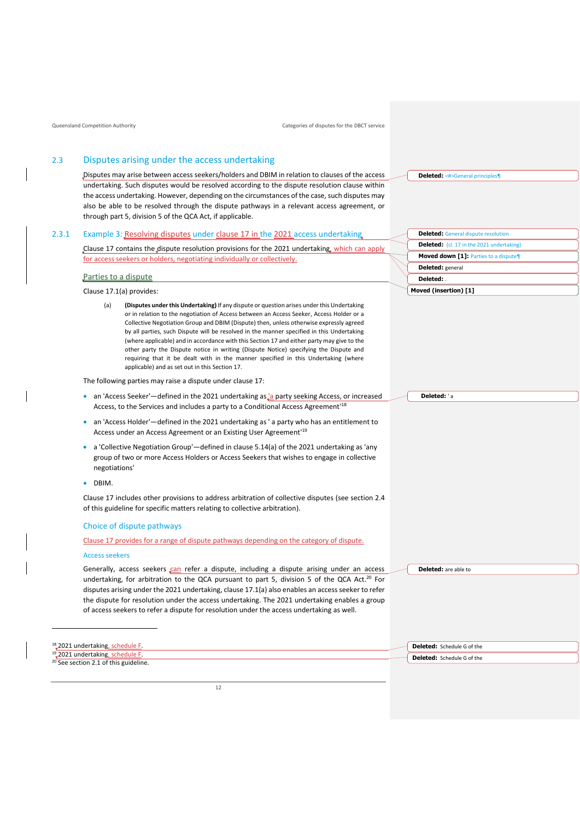## <span id="page-14-0"></span>2.3 Disputes arising under the access undertaking

Disputes may arise between access seekers/holders and DBIM in relation to clauses of the access undertaking. Such disputes would be resolved according to the dispute resolution clause within the access undertaking. However, depending on the circumstances of the case, such disputes may also be able to be resolved through the dispute pathways in a relevant access agreement, or through part 5, division 5 of the QCA Act, if applicable.

#### 2.3.1 Example 3: Resolving disputes under clause 17 in the 2021 access undertaking

Clause 17 contains the dispute resolution provisions for the 2021 undertaking, which can apply for access seekers or holders, negotiating individually or collectively.

### Parties to a dispute

Clause 17.1(a) provides:

(a) **(Disputes under this Undertaking)** If any dispute or question arises under this Undertaking or in relation to the negotiation of Access between an Access Seeker, Access Holder or a Collective Negotiation Group and DBIM (Dispute) then, unless otherwise expressly agreed by all parties, such Dispute will be resolved in the manner specified in this Undertaking (where applicable) and in accordance with this Section 17 and either party may give to the other party the Dispute notice in writing (Dispute Notice) specifying the Dispute and requiring that it be dealt with in the manner specified in this Undertaking (where applicable) and as set out in this Section 17.

The following parties may raise a dispute under clause 17:

- an 'Access Seeker'—defined in the 2021 undertaking as <sup>1</sup> a party seeking Access, or increased Access, to the Services and includes a party to a Conditional Access Agreement'<sup>18</sup>
- an 'Access Holder'—defined in the 2021 undertaking as ' a party who has an entitlement to Access under an Access Agreement or an Existing User Agreement'<sup>19</sup>
- a 'Collective Negotiation Group'—defined in clause 5.14(a) of the 2021 undertaking as 'any group of two or more Access Holders or Access Seekers that wishes to engage in collective negotiations'
- DBIM.

Clause 17 includes other provisions to address arbitration of collective disputes (see section 2.4 of this guideline for specific matters relating to collective arbitration).

#### Choice of dispute pathways

Clause 17 provides for a range of dispute pathways depending on the category of dispute.

#### Access seekers

Generally, access seekers can refer a dispute, including a dispute arising under an access undertaking, for arbitration to the QCA pursuant to part 5, division 5 of the QCA Act.<sup>20</sup> For disputes arising under the 2021 undertaking, clause 17.1(a) also enables an access seeker to refer the dispute for resolution under the access undertaking. The 2021 undertaking enables a group of access seekers to refer a dispute for resolution under the access undertaking as well.

| <sup>18</sup> 2021 undertaking, schedule F.      |  |
|--------------------------------------------------|--|
| $19$ , 2021 undertaking, schedule F.             |  |
| <sup>20</sup> See section 2.1 of this guideline. |  |

**Deleted:** <#>General principles¶

| <b>Deleted:</b> General dispute resolution       |  |  |
|--------------------------------------------------|--|--|
| <b>Deleted:</b> (cl. 17 in the 2021 undertaking) |  |  |
| Moved down [1]: Parties to a dispute¶            |  |  |
| Deleted: general                                 |  |  |
| Deleted:                                         |  |  |
| Moved (insertion) [1]                            |  |  |

**Deleted:** ' a

**Deleted:** are able to

**Deleted:** Schedule G of the **Deleted:** Schedule G of the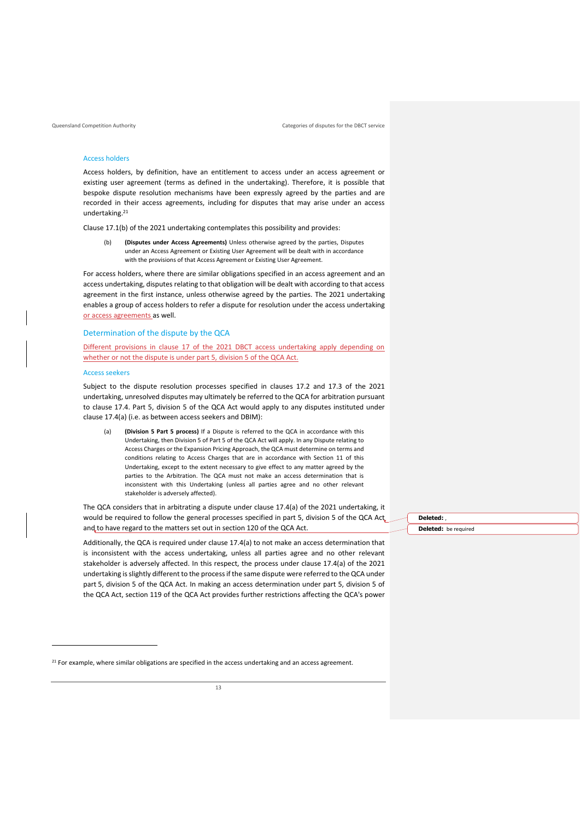#### Access holders

Access holders, by definition, have an entitlement to access under an access agreement or existing user agreement (terms as defined in the undertaking). Therefore, it is possible that bespoke dispute resolution mechanisms have been expressly agreed by the parties and are recorded in their access agreements, including for disputes that may arise under an access undertaking. 21

Clause 17.1(b) of the 2021 undertaking contemplates this possibility and provides:

(b) **(Disputes under Access Agreements)** Unless otherwise agreed by the parties, Disputes under an Access Agreement or Existing User Agreement will be dealt with in accordance with the provisions of that Access Agreement or Existing User Agreement.

For access holders, where there are similar obligations specified in an access agreement and an access undertaking, disputes relating to that obligation will be dealt with according to that access agreement in the first instance, unless otherwise agreed by the parties. The 2021 undertaking enables a group of access holders to refer a dispute for resolution under the access undertaking or access agreements as well.

#### Determination of the dispute by the QCA

Different provisions in clause 17 of the 2021 DBCT access undertaking apply depending on whether or not the dispute is under part 5, division 5 of the QCA Act.

#### Access seekers

Subject to the dispute resolution processes specified in clauses 17.2 and 17.3 of the 2021 undertaking, unresolved disputes may ultimately be referred to the QCA for arbitration pursuant to clause 17.4. Part 5, division 5 of the QCA Act would apply to any disputes instituted under clause 17.4(a) (i.e. as between access seekers and DBIM):

(Division 5 Part 5 process) If a Dispute is referred to the QCA in accordance with this Undertaking, then Division 5 of Part 5 of the QCA Act will apply. In any Dispute relating to Access Charges or the Expansion Pricing Approach, the QCA must determine on terms and conditions relating to Access Charges that are in accordance with Section 11 of this Undertaking, except to the extent necessary to give effect to any matter agreed by the parties to the Arbitration. The QCA must not make an access determination that is inconsistent with this Undertaking (unless all parties agree and no other relevant stakeholder is adversely affected).

The QCA considers that in arbitrating a dispute under clause 17.4(a) of the 2021 undertaking, it would be required to follow the general processes specified in part 5, division 5 of the QCA Act and to have regard to the matters set out in section 120 of the QCA Act.

Additionally, the QCA is required under clause 17.4(a) to not make an access determination that is inconsistent with the access undertaking, unless all parties agree and no other relevant stakeholder is adversely affected. In this respect, the process under clause 17.4(a) of the 2021 undertaking is slightly different to the process if the same dispute were referred to the QCA under part 5, division 5 of the QCA Act. In making an access determination under part 5, division 5 of the QCA Act, section 119 of the QCA Act provides further restrictions affecting the QCA's power **Deleted:** , **Deleted:** be required

 $21$  For example, where similar obligations are specified in the access undertaking and an access agreement.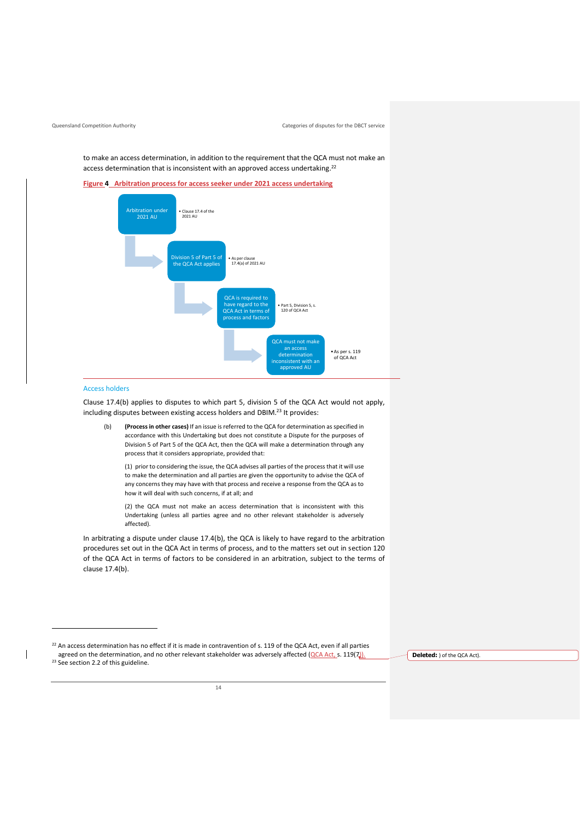to make an access determination, in addition to the requirement that the QCA must not make an access determination that is inconsistent with an approved access undertaking.<sup>22</sup>

**Figure 4 Arbitration process for access seeker under 2021 access undertaking**



#### Access holders

 $\overline{\phantom{a}}$ 

Clause 17.4(b) applies to disputes to which part 5, division 5 of the QCA Act would not apply, including disputes between existing access holders and DBIM.<sup>23</sup> It provides:

(b) **(Process in other cases)** If an issue is referred to the QCA for determination as specified in accordance with this Undertaking but does not constitute a Dispute for the purposes of Division 5 of Part 5 of the QCA Act, then the QCA will make a determination through any process that it considers appropriate, provided that:

(1) prior to considering the issue, the QCA advises all parties of the process that it will use to make the determination and all parties are given the opportunity to advise the QCA of any concerns they may have with that process and receive a response from the QCA as to how it will deal with such concerns, if at all; and

(2) the QCA must not make an access determination that is inconsistent with this Undertaking (unless all parties agree and no other relevant stakeholder is adversely affected).

In arbitrating a dispute under clause 17.4(b), the QCA is likely to have regard to the arbitration procedures set out in the QCA Act in terms of process, and to the matters set out in section 120 of the QCA Act in terms of factors to be considered in an arbitration, subject to the terms of clause 17.4(b).

**Deleted:** ) of the QCA Act).

 $^{22}$  An access determination has no effect if it is made in contravention of s. 119 of the OCA Act, even if all parties agreed on the determination, and no other relevant stakeholder was adversely affected (QCA Act, s. 119(7)). <sup>23</sup> See section 2.2 of this guideline.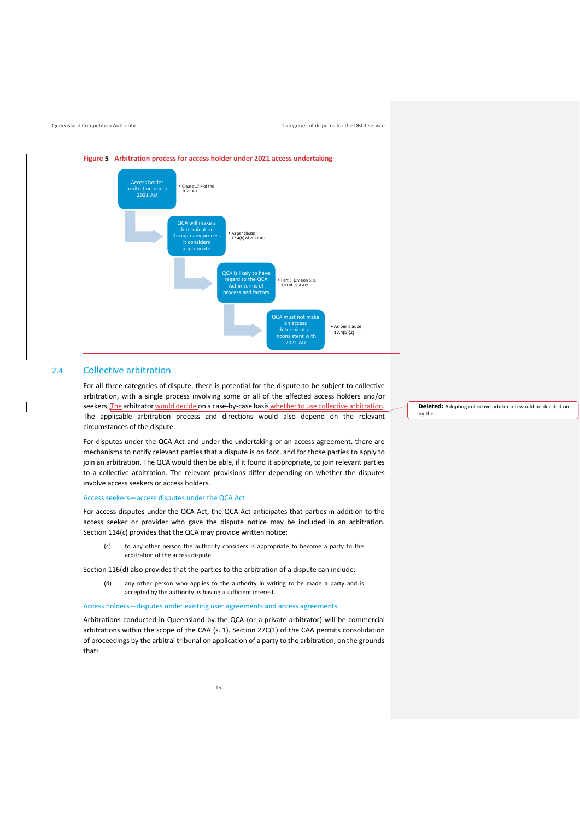Queensland Competition Authority **Categories of disputes for the DBCT service** Categories of disputes for the DBCT service

**Figure 5 Arbitration process for access holder under 2021 access undertaking Access holder** arbitration under 2021 AU • Clause 17.4 of the 2021 AU QCA will make a ermination gh any proces it considers appropriate • As per clause 17.4(b) of 2021 AU QCA is likely to have regard to the QCA Act in terms of process and factors • Part 5, Division 5, s. 120 of QCA Act QCA must not make determination inconsistent with 2021 AU •As per clause  $17.4(b)(2)$ 

#### <span id="page-17-0"></span>2.4 Collective arbitration

For all three categories of dispute, there is potential for the dispute to be subject to collective arbitration, with a single process involving some or all of the affected access holders and/or seekers. The arbitrator would decide on a case-by-case basis whether to use collective arbitration. The applicable arbitration process and directions would also depend on the relevant circumstances of the dispute.

For disputes under the QCA Act and under the undertaking or an access agreement, there are mechanisms to notify relevant parties that a dispute is on foot, and for those parties to apply to join an arbitration. The QCA would then be able, if it found it appropriate, to join relevant parties to a collective arbitration. The relevant provisions differ depending on whether the disputes involve access seekers or access holders.

#### Access seekers—access disputes under the QCA Act

For access disputes under the QCA Act, the QCA Act anticipates that parties in addition to the access seeker or provider who gave the dispute notice may be included in an arbitration. Section 114(c) provides that the QCA may provide written notice:

(c) to any other person the authority considers is appropriate to become a party to the arbitration of the access dispute.

Section 116(d) also provides that the parties to the arbitration of a dispute can include:

(d) any other person who applies to the authority in writing to be made a party and is accepted by the authority as having a sufficient interest.

#### Access holders—disputes under existing user agreements and access agreements

Arbitrations conducted in Queensland by the QCA (or a private arbitrator) will be commercial arbitrations within the scope of the CAA (s. 1). Section 27C(1) of the CAA permits consolidation of proceedings by the arbitral tribunal on application of a party to the arbitration, on the grounds that:

**Deleted:** Adopting collective arbitration would be decided on by the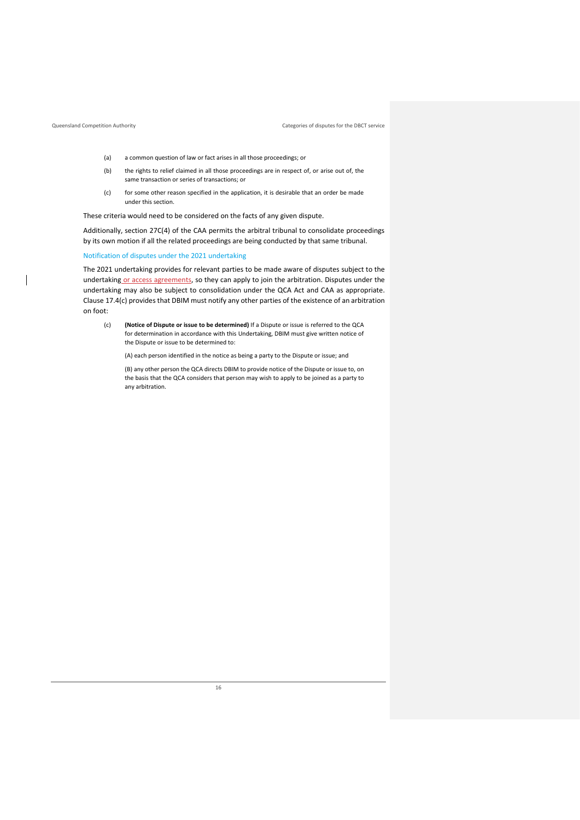- (a) a common question of law or fact arises in all those proceedings; or
- (b) the rights to relief claimed in all those proceedings are in respect of, or arise out of, the same transaction or series of transactions; or
- (c) for some other reason specified in the application, it is desirable that an order be made under this section.

These criteria would need to be considered on the facts of any given dispute.

Additionally, section 27C(4) of the CAA permits the arbitral tribunal to consolidate proceedings by its own motion if all the related proceedings are being conducted by that same tribunal.

Notification of disputes under the 2021 undertaking

The 2021 undertaking provides for relevant parties to be made aware of disputes subject to the undertaking or access agreements, so they can apply to join the arbitration. Disputes under the undertaking may also be subject to consolidation under the QCA Act and CAA as appropriate. Clause 17.4(c) provides that DBIM must notify any other parties of the existence of an arbitration on foot:

(c) **(Notice of Dispute or issue to be determined)** If a Dispute or issue is referred to the QCA for determination in accordance with this Undertaking, DBIM must give written notice of the Dispute or issue to be determined to:

(A) each person identified in the notice as being a party to the Dispute or issue; and

(B) any other person the QCA directs DBIM to provide notice of the Dispute or issue to, on the basis that the QCA considers that person may wish to apply to be joined as a party to any arbitration.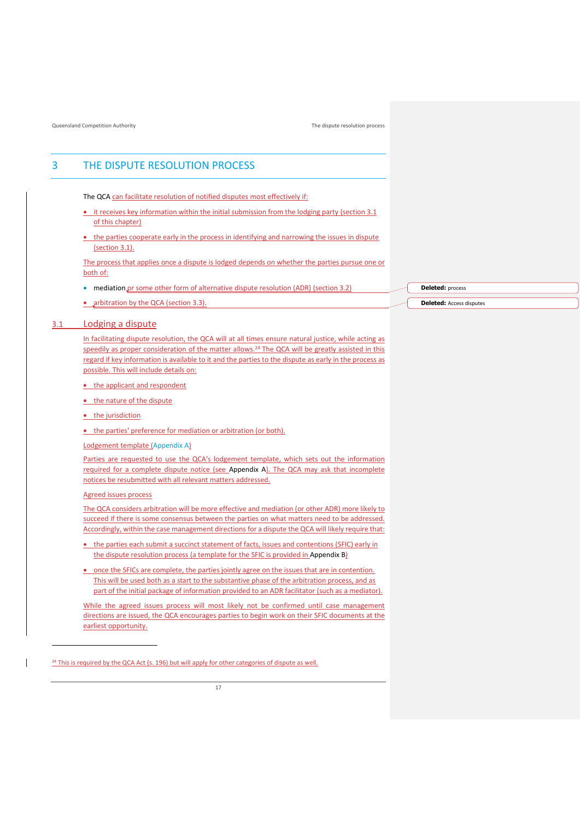## <span id="page-19-0"></span>3 THE DISPUTE RESOLUTION PROCESS

The QCA can facilitate resolution of notified disputes most effectively if:

- it receives key information within the initial submission from the lodging party (section 3.1 of this chapter)
- the parties cooperate early in the process in identifying and narrowing the issues in dispute (section 3.1).

The process that applies once a dispute is lodged depends on whether the parties pursue one or both of:

- mediation or some other form of alternative dispute resolution (ADR) (section 3.2)
- arbitration by the QCA (section 3.3).

#### <span id="page-19-1"></span>3.1 Lodging a dispute

In facilitating dispute resolution, the QCA will at all times ensure natural justice, while acting as speedily as proper consideration of the matter allows.<sup>24</sup> The QCA will be greatly assisted in this regard if key information is available to it and the parties to the dispute as early in the process as possible. This will include details on:

- the applicant and respondent
- the nature of the dispute
- the jurisdiction
- the parties' preference for mediation or arbitration (or both).
- Lodgement template [\(Appendix A\)](#page-42-0)

Parties are requested to use the QCA's lodgement template, which sets out the information required for a complete dispute notice (see [Appendix A\)](#page-42-0). The QCA may ask that incomplete notices be resubmitted with all relevant matters addressed.

Agreed issues process

The QCA considers arbitration will be more effective and mediation (or other ADR) more likely to succeed if there is some consensus between the parties on what matters need to be addressed. Accordingly, within the case management directions for a dispute the QCA will likely require that:

- the parties each submit a succinct statement of facts, issues and contentions (SFIC) early in the dispute resolution process (a template for the SFIC is provided i[n Appendix B\)](#page-45-0)
- once the SFICs are complete, the parties jointly agree on the issues that are in contention. This will be used both as a start to the substantive phase of the arbitration process, and as part of the initial package of information provided to an ADR facilitator (such as a mediator).

While the agreed issues process will most likely not be confirmed until case management directions are issued, the QCA encourages parties to begin work on their SFIC documents at the earliest opportunity.

**Deleted:** process

**Deleted:** Access disputes

<sup>&</sup>lt;sup>24</sup> This is required by the QCA Act (s. 196) but will apply for other categories of dispute as well.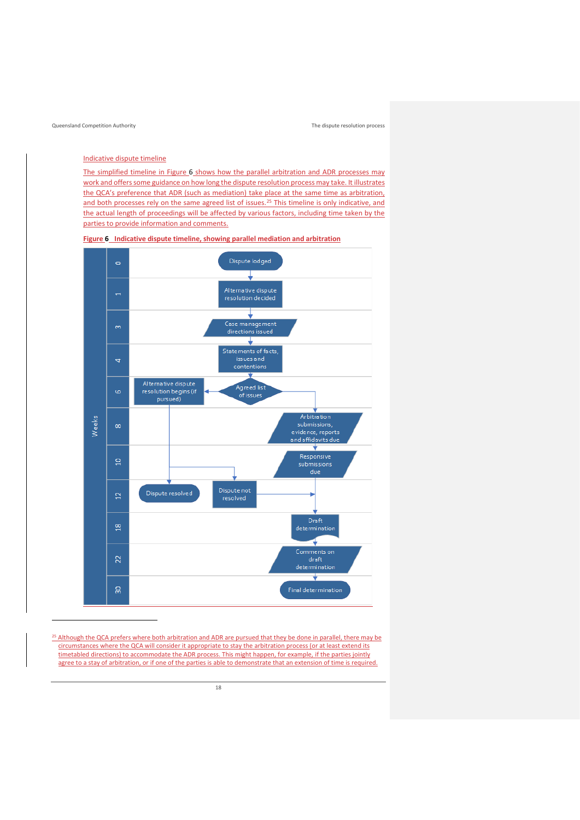#### Indicative dispute timeline

The simplified timeline in [Figure 6](#page-20-0) shows how the parallel arbitration and ADR processes may work and offers some guidance on how long the dispute resolution process may take. It illustrates the QCA's preference that ADR (such as mediation) take place at the same time as arbitration, and both processes rely on the same agreed list of issues.<sup>25</sup> This timeline is only indicative, and the actual length of proceedings will be affected by various factors, including time taken by the parties to provide information and comments.

#### **Figure 6 Indicative dispute timeline, showing parallel mediation and arbitration**

<span id="page-20-0"></span>

<sup>25</sup> Although the QCA prefers where both arbitration and ADR are pursued that they be done in parallel, there may be circumstances where the QCA will consider it appropriate to stay the arbitration process (or at least extend its timetabled directions) to accommodate the ADR process. This might happen, for example, if the parties jointly agree to a stay of arbitration, or if one of the parties is able to demonstrate that an extension of time is required.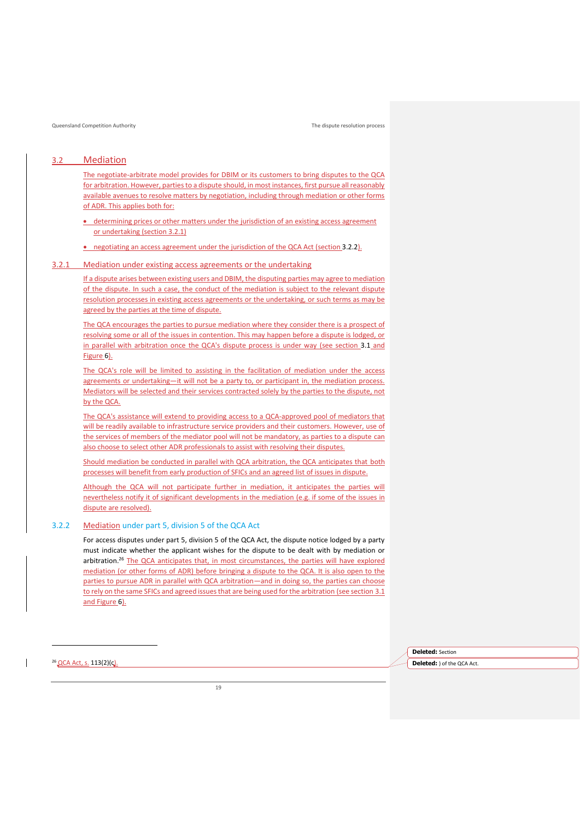## <span id="page-21-0"></span>3.2 Mediation

The negotiate-arbitrate model provides for DBIM or its customers to bring disputes to the QCA for arbitration. However, parties to a dispute should, in most instances, first pursue all reasonably available avenues to resolve matters by negotiation, including through mediation or other forms of ADR. This applies both for:

- determining prices or other matters under the jurisdiction of an existing access agreement or undertaking (section 3.2.1)
- negotiating an access agreement under the jurisdiction of the QCA Act (sectio[n 3.2.2\)](#page-21-1).

#### 3.2.1 Mediation under existing access agreements or the undertaking

If a dispute arises between existing users and DBIM, the disputing parties may agree to mediation of the dispute. In such a case, the conduct of the mediation is subject to the relevant dispute resolution processes in existing access agreements or the undertaking, or such terms as may be agreed by the parties at the time of dispute.

The QCA encourages the parties to pursue mediation where they consider there is a prospect of resolving some or all of the issues in contention. This may happen before a dispute is lodged, or in parallel with arbitration once the QCA's dispute process is under way (see section [3.1](#page-19-1) and [Figure 6\)](#page-20-0).

The QCA's role will be limited to assisting in the facilitation of mediation under the access agreements or undertaking—it will not be a party to, or participant in, the mediation process. Mediators will be selected and their services contracted solely by the parties to the dispute, not by the QCA.

The QCA's assistance will extend to providing access to a QCA-approved pool of mediators that will be readily available to infrastructure service providers and their customers. However, use of the services of members of the mediator pool will not be mandatory, as parties to a dispute can also choose to select other ADR professionals to assist with resolving their disputes.

Should mediation be conducted in parallel with QCA arbitration, the QCA anticipates that both processes will benefit from early production of SFICs and an agreed list of issues in dispute.

Although the QCA will not participate further in mediation, it anticipates the parties will nevertheless notify it of significant developments in the mediation (e.g. if some of the issues in dispute are resolved).

#### <span id="page-21-1"></span>3.2.2 Mediation under part 5, division 5 of the QCA Act

For access disputes under part 5, division 5 of the QCA Act, the dispute notice lodged by a party must indicate whether the applicant wishes for the dispute to be dealt with by mediation or arbitration.<sup>26</sup> The QCA anticipates that, in most circumstances, the parties will have explored mediation (or other forms of ADR) before bringing a dispute to the QCA. It is also open to the parties to pursue ADR in parallel with QCA arbitration—and in doing so, the parties can choose to rely on the same SFICs and agreed issues that are being used for the arbitration (see section 3.1 and [Figure 6\)](#page-20-0).

> **Deleted:** Section **Deleted:** ) of the QCA Act.

<sup>26</sup> QCA Act, s. 113(2)(ς).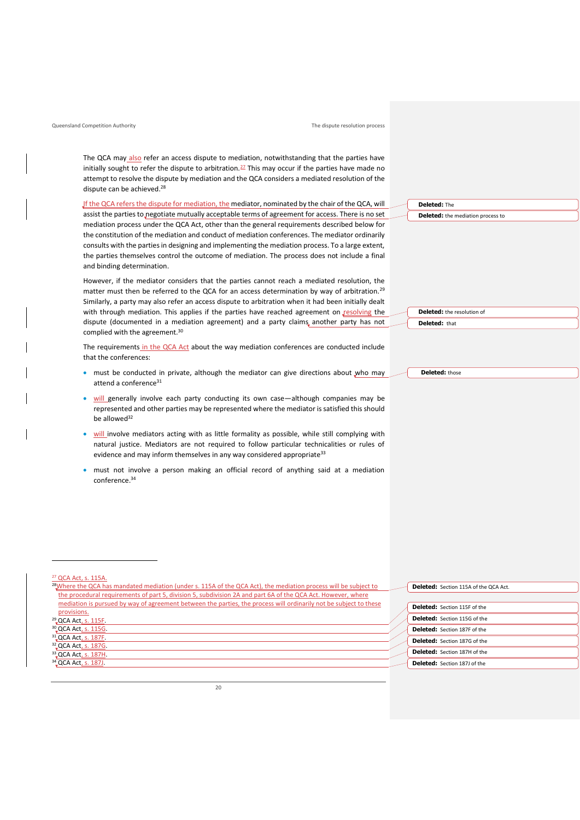The QCA may also refer an access dispute to mediation, notwithstanding that the parties have initially sought to refer the dispute to arbitration. $27$  This may occur if the parties have made no attempt to resolve the dispute by mediation and the QCA considers a mediated resolution of the dispute can be achieved.<sup>28</sup>

If the QCA refers the dispute for mediation, the mediator, nominated by the chair of the QCA, will assist the parties to negotiate mutually acceptable terms of agreement for access. There is no set mediation process under the QCA Act, other than the general requirements described below for the constitution of the mediation and conduct of mediation conferences. The mediator ordinarily consults with the parties in designing and implementing the mediation process. To a large extent, the parties themselves control the outcome of mediation. The process does not include a final and binding determination.

However, if the mediator considers that the parties cannot reach a mediated resolution, the matter must then be referred to the QCA for an access determination by way of arbitration.<sup>29</sup> Similarly, a party may also refer an access dispute to arbitration when it had been initially dealt with through mediation. This applies if the parties have reached agreement on resolving the dispute (documented in a mediation agreement) and a party claims another party has not complied with the agreement.<sup>30</sup>

The requirements in the QCA Act about the way mediation conferences are conducted include that the conferences:

- must be conducted in private, although the mediator can give directions about who may attend a conference<sup>31</sup>
- will generally involve each party conducting its own case-although companies may be represented and other parties may be represented where the mediator is satisfied this should be allowed<sup>32</sup>
- will involve mediators acting with as little formality as possible, while still complying with natural justice. Mediators are not required to follow particular technicalities or rules of evidence and may inform themselves in any way considered appropriate<sup>33</sup>
- must not involve a person making an official record of anything said at a mediation conference.<sup>34</sup>

#### $27$  OCA Act, s. 115A.

<sup>28</sup>Where the QCA has mandated mediation (under s. 115A of the QCA Act), the mediation process will be subject to the procedural requirements of part 5, division 5, subdivision 2A and part 6A of the QCA Act. However, where mediation is pursued by way of agreement between the parties, the process will ordinarily not be subject to these provisions. <sup>29</sup>, QCA Act, s. 115F. <sup>30</sup> QCA Act, s. 115G. <sup>31</sup> QCA Act, s. 187F. 32<sub>.</sub>QCA Act<sub>, S</sub>. 187G <sup>33</sup> QCA Act, s. 187H. <sup>34</sup>, QCA Act, s. 187J.

**Deleted:** The **Deleted:** the mediation process to

**Deleted:** the resolution of **Deleted:** that

**Deleted:** those

**Deleted:** Section 115A of the QCA Act.

| <b>Deleted:</b> Section 115F of the |
|-------------------------------------|
| Deleted: Section 115G of the        |
| Deleted: Section 187F of the        |
| Deleted: Section 187G of the        |
| Deleted: Section 187H of the        |
| Deleted: Section 187J of the        |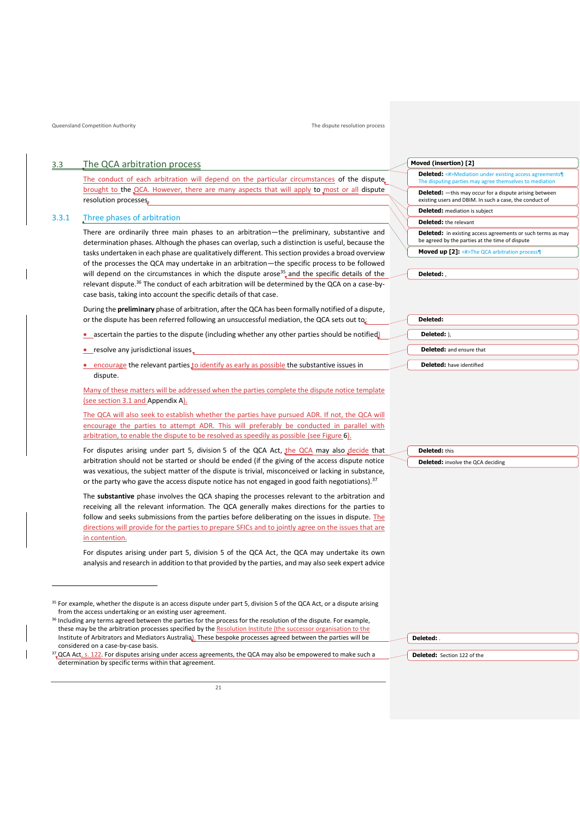#### 3.3 The QCA arbitration process

<span id="page-23-0"></span>The conduct of each arbitration will depend on the particular circumstances of the dispute brought to the QCA. However, there are many aspects that will apply to most or all dispute resolution processes.

#### 3.3.1 Three phases of arbitration

There are ordinarily three main phases to an arbitration—the preliminary, substantive and determination phases. Although the phases can overlap, such a distinction is useful, because the tasks undertaken in each phase are qualitatively different. This section provides a broad overview of the processes the QCA may undertake in an arbitration—the specific process to be followed will depend on the circumstances in which the dispute arose<sup>35</sup> and the specific details of the relevant dispute.<sup>36</sup> The conduct of each arbitration will be determined by the QCA on a case-bycase basis, taking into account the specific details of that case.

During the **preliminary** phase of arbitration, after the QCA has been formally notified of a dispute, or the dispute has been referred following an unsuccessful mediation, the QCA sets out to:

- **•** ascertain the parties to the dispute (including whether any other parties should be notified)
- resolve any jurisdictional issues
- encourage the relevant parties to identify as early as possible the substantive issues in dispute.

Many of these matters will be addressed when the parties complete the dispute notice template (see section 3.1 and [Appendix A\)](#page-42-0).

The QCA will also seek to establish whether the parties have pursued ADR. If not, the QCA will encourage the parties to attempt ADR. This will preferably be conducted in parallel with arbitration, to enable the dispute to be resolved as speedily as possible (se[e Figure 6\)](#page-20-0).

For disputes arising under part 5, division 5 of the QCA Act, the QCA may also decide that arbitration should not be started or should be ended (if the giving of the access dispute notice was vexatious, the subject matter of the dispute is trivial, misconceived or lacking in substance, or the party who gave the access dispute notice has not engaged in good faith negotiations).<sup>37</sup>

The **substantive** phase involves the QCA shaping the processes relevant to the arbitration and receiving all the relevant information. The QCA generally makes directions for the parties to follow and seeks submissions from the parties before deliberating on the issues in dispute. The directions will provide for the parties to prepare SFICs and to jointly agree on the issues that are in contention.

For disputes arising under part 5, division 5 of the QCA Act, the QCA may undertake its own analysis and research in addition to that provided by the parties, and may also seek expert advice

| Moved (insertion) [2]                                                                                                    |  |  |
|--------------------------------------------------------------------------------------------------------------------------|--|--|
| <b>Deleted:</b> <#>Mediation under existing access agreements<br>The disputing parties may agree themselves to mediation |  |  |
| <b>Deleted:</b> -this may occur for a dispute arising between<br>existing users and DBIM. In such a case, the conduct of |  |  |
| <b>Deleted:</b> mediation is subject                                                                                     |  |  |
| <b>Deleted:</b> the relevant                                                                                             |  |  |

| <b>Deleted:</b> in existing access agreements or such terms as may |  |
|--------------------------------------------------------------------|--|
| be agreed by the parties at the time of dispute                    |  |
|                                                                    |  |

**Moved up [2]:** <#>The QCA arbitration process¶

**Deleted:** ,

| Deleted:                        |
|---------------------------------|
| Deleted: ),                     |
| <b>Deleted:</b> and ensure that |
| <b>Deleted:</b> have identified |

| <b>Deleted:</b> this                     |  |
|------------------------------------------|--|
| <b>Deleted:</b> involve the QCA deciding |  |
|                                          |  |

**Deleted:** .

**Deleted:** Section 122 of the

<sup>&</sup>lt;sup>35</sup> For example, whether the dispute is an access dispute under part 5, division 5 of the QCA Act, or a dispute arising from the access undertaking or an existing user agreement.

<sup>&</sup>lt;sup>36</sup> Including any terms agreed between the parties for the process for the resolution of the dispute. For example, these may be the arbitration processes specified by the Resolution Institute (the successor organisation to the Institute of Arbitrators and Mediators Australia). These bespoke processes agreed between the parties will be considered on a case-by-case basis.

<sup>&</sup>lt;sup>37</sup> QCA Act, s. 122. For disputes arising under access agreements, the QCA may also be empowered to make such a determination by specific terms within that agreement.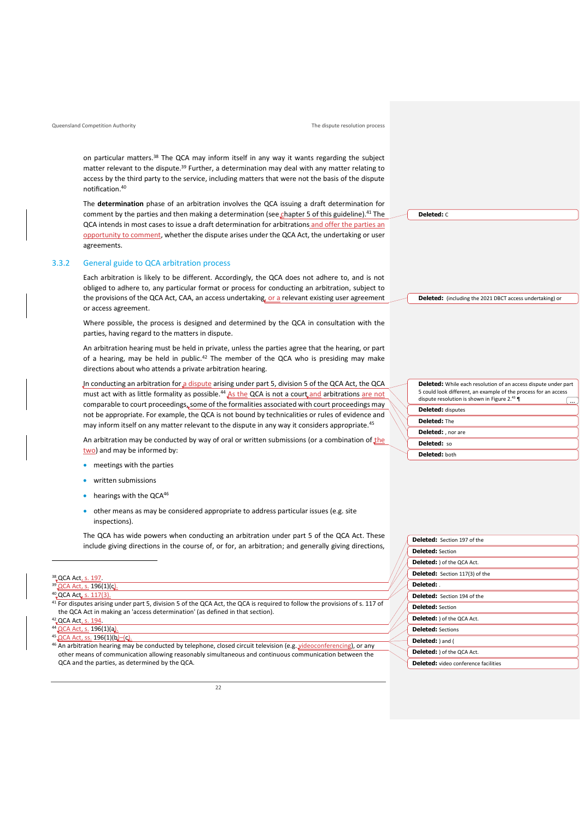on particular matters.<sup>38</sup> The QCA may inform itself in any way it wants regarding the subject matter relevant to the dispute.<sup>39</sup> Further, a determination may deal with any matter relating to access by the third party to the service, including matters that were not the basis of the dispute notification.<sup>40</sup>

The **determination** phase of an arbitration involves the QCA issuing a draft determination for comment by the parties and then making a determination (see chapter 5 of this guideline).<sup>41</sup> The QCA intends in most cases to issue a draft determination for arbitrations and offer the parties an opportunity to comment, whether the dispute arises under the QCA Act, the undertaking or user agreements.

#### 3.3.2 General guide to QCA arbitration process

Each arbitration is likely to be different. Accordingly, the QCA does not adhere to, and is not obliged to adhere to, any particular format or process for conducting an arbitration, subject to the provisions of the QCA Act, CAA, an access undertaking, or a relevant existing user agreement or access agreement.

Where possible, the process is designed and determined by the QCA in consultation with the parties, having regard to the matters in dispute.

An arbitration hearing must be held in private, unless the parties agree that the hearing, or part of a hearing, may be held in public. $42$  The member of the QCA who is presiding may make directions about who attends a private arbitration hearing.

In conducting an arbitration for a dispute arising under part 5, division 5 of the QCA Act, the QCA must act with as little formality as possible.<sup>44</sup> As the QCA is not a court and arbitrations are not comparable to court proceedings, some of the formalities associated with court proceedings may not be appropriate. For example, the QCA is not bound by technicalities or rules of evidence and may inform itself on any matter relevant to the dispute in any way it considers appropriate.<sup>45</sup>

An arbitration may be conducted by way of oral or written submissions (or a combination of the two) and may be informed by:

- meetings with the parties
- written submissions
- hearings with the  $OCA^{46}$
- other means as may be considered appropriate to address particular issues (e.g. site inspections).

The QCA has wide powers when conducting an arbitration under part 5 of the QCA Act. These include giving directions in the course of, or for, an arbitration; and generally giving directions,

#### <sup>38</sup>, QCA Act<u>, s. 197</u> **QCA Act, s. 196(1)(c).**

### 40 QCA Act, s. 117(3)

<sup>41</sup> For disputes arising under part 5, division 5 of the QCA Act, the QCA is required to follow the provisions of s. 117 of

```
the QCA Act in making an 'access determination' (as defined in that section).
```
#### 42 QCA Act, s. 194 QCA Act, s. 196(1)(a).

 $QCA$  Act, ss. 196(1)(b)–(c)

46 An arbitration hearing may be conducted by telephone, closed circuit television (e.g. videoconferencing), or any other means of communication allowing reasonably simultaneous and continuous communication between the QCA and the parties, as determined by the QCA.

 $22$ 

**Deleted:** C

**Deleted:** (including the 2021 DBCT access undertaking) or

| <b>Deleted:</b> While each resolution of an access dispute under part<br>5 could look different, an example of the process for an access<br>dispute resolution is shown in Figure 2.43 $\P$ |  |  |
|---------------------------------------------------------------------------------------------------------------------------------------------------------------------------------------------|--|--|
| <b>Deleted:</b> disputes                                                                                                                                                                    |  |  |
| Deleted: The                                                                                                                                                                                |  |  |
| Deleted: , nor are                                                                                                                                                                          |  |  |
| Deleted: so                                                                                                                                                                                 |  |  |
| Deleted: both                                                                                                                                                                               |  |  |

| <b>Deleted:</b> Section 197 of the          |
|---------------------------------------------|
| <b>Deleted: Section</b>                     |
| <b>Deleted:</b> ) of the QCA Act.           |
| <b>Deleted:</b> Section 117(3) of the       |
| Deleted:                                    |
| <b>Deleted:</b> Section 194 of the          |
| <b>Deleted:</b> Section                     |
| Deleted: ) of the QCA Act.                  |
| <b>Deleted:</b> Sections                    |
| Deleted: ) and (                            |
| Deleted: ) of the QCA Act.                  |
| <b>Deleted:</b> video conference facilities |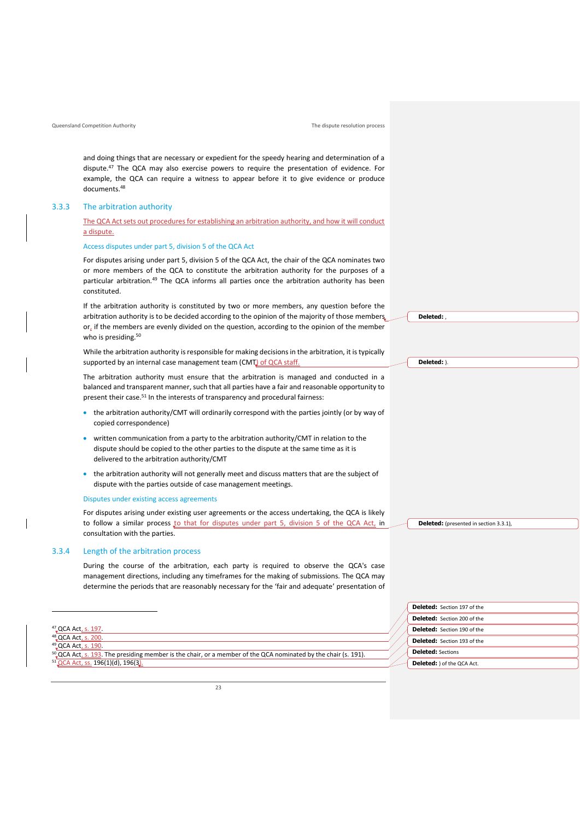and doing things that are necessary or expedient for the speedy hearing and determination of a dispute.<sup>47</sup> The QCA may also exercise powers to require the presentation of evidence. For example, the QCA can require a witness to appear before it to give evidence or produce documents.<sup>48</sup>

#### 3.3.3 The arbitration authority

#### The QCA Act sets out procedures for establishing an arbitration authority, and how it will conduct a dispute.

#### Access disputes under part 5, division 5 of the QCA Act

For disputes arising under part 5, division 5 of the QCA Act, the chair of the QCA nominates two or more members of the QCA to constitute the arbitration authority for the purposes of a particular arbitration.<sup>49</sup> The QCA informs all parties once the arbitration authority has been constituted.

If the arbitration authority is constituted by two or more members, any question before the arbitration authority is to be decided according to the opinion of the majority of those members.  $or_{\iota}$  if the members are evenly divided on the question, according to the opinion of the member who is presiding.<sup>50</sup>

While the arbitration authority is responsible for making decisions in the arbitration, it is typically supported by an internal case management team (CMT) of QCA staff.

The arbitration authority must ensure that the arbitration is managed and conducted in a balanced and transparent manner, such that all parties have a fair and reasonable opportunity to present their case.<sup>51</sup> In the interests of transparency and procedural fairness:

- the arbitration authority/CMT will ordinarily correspond with the parties jointly (or by way of copied correspondence)
- written communication from a party to the arbitration authority/CMT in relation to the dispute should be copied to the other parties to the dispute at the same time as it is delivered to the arbitration authority/CMT
- the arbitration authority will not generally meet and discuss matters that are the subject of dispute with the parties outside of case management meetings.

#### Disputes under existing access agreements

For disputes arising under existing user agreements or the access undertaking, the QCA is likely to follow a similar process to that for disputes under part 5, division 5 of the QCA Act, in consultation with the parties.

#### 3.3.4 Length of the arbitration process

During the course of the arbitration, each party is required to observe the QCA's case management directions, including any timeframes for the making of submissions. The QCA may determine the periods that are reasonably necessary for the 'fair and adequate' presentation of

49 QCA Act, s. 190

50 QCA Act, s. 193. The presiding member is the chair, or a member of the QCA nominated by the chair (s. 191). <sup>51</sup> QCA Act, ss. 196(1)(d), 196(3).

**Deleted:** ,

**Deleted:** ).

**Deleted:** (presented in section 3.3.1),

| <b>Deleted:</b> Section 197 of the |  |
|------------------------------------|--|
| Deleted: Section 200 of the        |  |
| Deleted: Section 190 of the        |  |
| Deleted: Section 193 of the        |  |
| <b>Deleted: Sections</b>           |  |
| Deleted: ) of the QCA Act.         |  |

<sup>47</sup> QCA Act, s. 197.

<sup>48</sup> QCA Act, s. 200.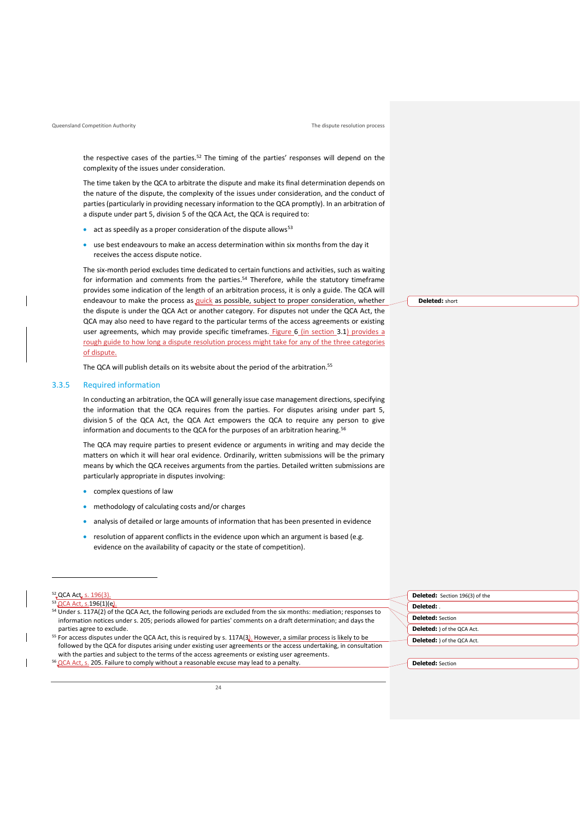the respective cases of the parties.<sup>52</sup> The timing of the parties' responses will depend on the complexity of the issues under consideration.

The time taken by the QCA to arbitrate the dispute and make its final determination depends on the nature of the dispute, the complexity of the issues under consideration, and the conduct of parties (particularly in providing necessary information to the QCA promptly). In an arbitration of a dispute under part 5, division 5 of the QCA Act, the QCA is required to:

- $\bullet$  act as speedily as a proper consideration of the dispute allows<sup>53</sup>
- use best endeavours to make an access determination within six months from the day it receives the access dispute notice.

The six-month period excludes time dedicated to certain functions and activities, such as waiting for information and comments from the parties. <sup>54</sup> Therefore, while the statutory timeframe provides some indication of the length of an arbitration process, it is only a guide. The QCA will endeavour to make the process as *quick* as possible, subject to proper consideration, whether the dispute is under the QCA Act or another category. For disputes not under the QCA Act, the QCA may also need to have regard to the particular terms of the access agreements or existing user agreements, which may provide specific timeframes. [Figure 6](#page-20-0) (in section [3.1\)](#page-19-1) provides a rough guide to how long a dispute resolution process might take for any of the three categories of dispute.

The QCA will publish details on its website about the period of the arbitration.<sup>55</sup>

#### 3.3.5 Required information

In conducting an arbitration, the QCA will generally issue case management directions, specifying the information that the QCA requires from the parties. For disputes arising under part 5, division 5 of the QCA Act, the QCA Act empowers the QCA to require any person to give information and documents to the QCA for the purposes of an arbitration hearing.<sup>56</sup>

The QCA may require parties to present evidence or arguments in writing and may decide the matters on which it will hear oral evidence. Ordinarily, written submissions will be the primary means by which the QCA receives arguments from the parties. Detailed written submissions are particularly appropriate in disputes involving:

- complex questions of law
- methodology of calculating costs and/or charges
- analysis of detailed or large amounts of information that has been presented in evidence
- resolution of apparent conflicts in the evidence upon which an argument is based (e.g. evidence on the availability of capacity or the state of competition).

- <sup>54</sup> Under s. 117A(2) of the QCA Act, the following periods are excluded from the six months: mediation; responses to information notices under s. 205; periods allowed for parties' comments on a draft determination; and days the parties agree to exclude.
- <sup>55</sup> For access disputes under the QCA Act, this is required by s. 117A(3). However, a similar process is likely to be followed by the QCA for disputes arising under existing user agreements or the access undertaking, in consultation with the parties and subject to the terms of the access agreements or existing user agreements. <sup>56</sup> QCA Act, s. 205. Failure to comply without a reasonable excuse may lead to a penalty.

**Deleted:** Section 196(3) of the **Deleted:** . **Deleted:** Section **Deleted:** ) of the QCA Act. **Deleted:** ) of the QCA Act.

**Deleted:** Section

**Deleted:** short

<sup>52&</sup>lt;sub>v</sub>QCA Act, s. 196(3).

<sup>53 &</sup>lt;u>QCA Act, s.</u>196(1)(e).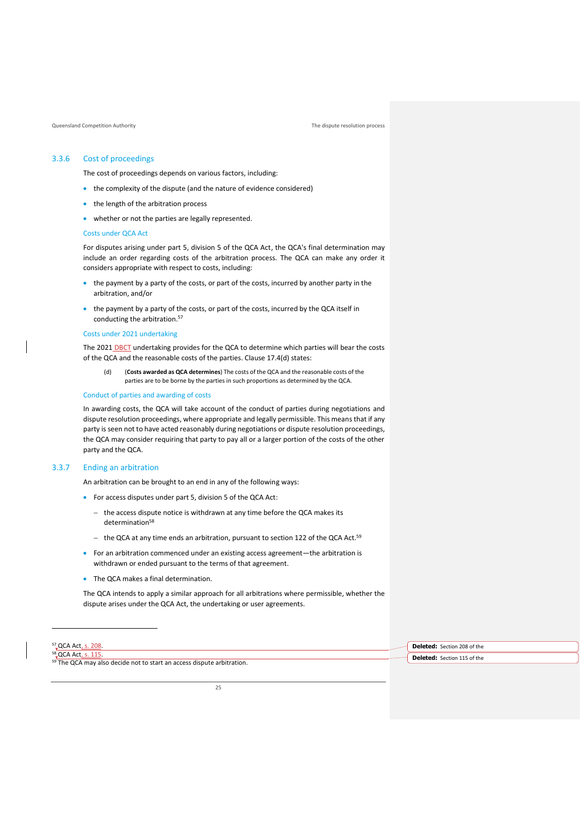#### 3.3.6 Cost of proceedings

The cost of proceedings depends on various factors, including:

- the complexity of the dispute (and the nature of evidence considered)
- the length of the arbitration process
- whether or not the parties are legally represented.

#### Costs under QCA Act

For disputes arising under part 5, division 5 of the QCA Act, the QCA's final determination may include an order regarding costs of the arbitration process. The QCA can make any order it considers appropriate with respect to costs, including:

- the payment by a party of the costs, or part of the costs, incurred by another party in the arbitration, and/or
- the payment by a party of the costs, or part of the costs, incurred by the QCA itself in conducting the arbitration.<sup>57</sup>

#### Costs under 2021 undertaking

The 2021 DBCT undertaking provides for the QCA to determine which parties will bear the costs of the QCA and the reasonable costs of the parties. Clause 17.4(d) states:

(d) (**Costs awarded as QCA determines**) The costs of the QCA and the reasonable costs of the parties are to be borne by the parties in such proportions as determined by the QCA.

#### Conduct of parties and awarding of costs

In awarding costs, the QCA will take account of the conduct of parties during negotiations and dispute resolution proceedings, where appropriate and legally permissible. This meansthat if any party is seen not to have acted reasonably during negotiations or dispute resolution proceedings, the QCA may consider requiring that party to pay all or a larger portion of the costs of the other party and the QCA.

#### 3.3.7 Ending an arbitration

An arbitration can be brought to an end in any of the following ways:

- For access disputes under part 5, division 5 of the QCA Act:
	- − the access dispute notice is withdrawn at any time before the QCA makes its determination<sup>58</sup>
	- − the QCA at any time ends an arbitration, pursuant to section 122 of the QCA Act.<sup>59</sup>
- For an arbitration commenced under an existing access agreement—the arbitration is withdrawn or ended pursuant to the terms of that agreement.
- The QCA makes a final determination.

The QCA intends to apply a similar approach for all arbitrations where permissible, whether the dispute arises under the QCA Act, the undertaking or user agreements.

| <sup>57</sup> _QCA Act.                                                           |  | <b>Deleted:</b> Section 208 of the |
|-----------------------------------------------------------------------------------|--|------------------------------------|
| <sup>58</sup> QCA Act,                                                            |  | <b>Deleted:</b> Section 115 of the |
| <sup>59</sup> The QCA may also decide not to start an access dispute arbitration. |  |                                    |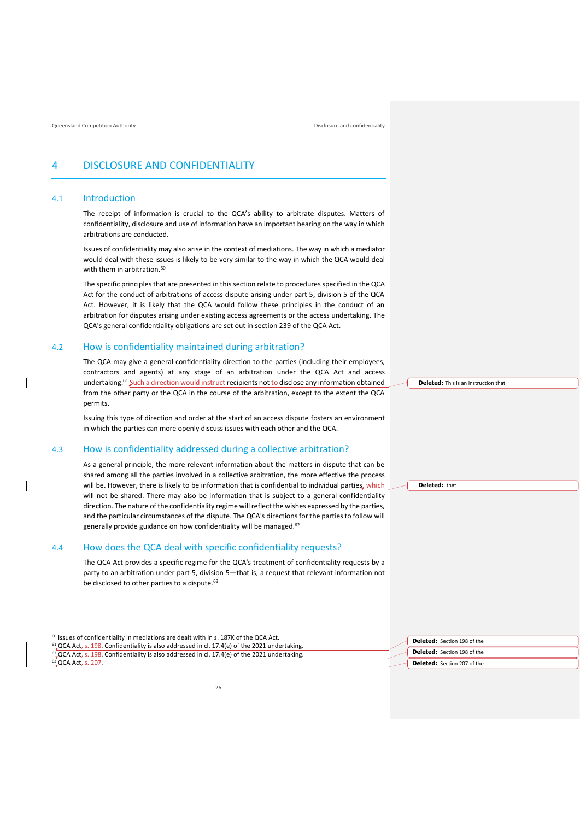Queensland Competition Authority **Disclosure and confidentiality** Disclosure and confidentiality

## <span id="page-28-0"></span>4 DISCLOSURE AND CONFIDENTIALITY

#### <span id="page-28-1"></span>4.1 Introduction

The receipt of information is crucial to the QCA's ability to arbitrate disputes. Matters of confidentiality, disclosure and use of information have an important bearing on the way in which arbitrations are conducted.

Issues of confidentiality may also arise in the context of mediations. The way in which a mediator would deal with these issues is likely to be very similar to the way in which the QCA would deal with them in arbitration.<sup>60</sup>

The specific principles that are presented in this section relate to procedures specified in the QCA Act for the conduct of arbitrations of access dispute arising under part 5, division 5 of the QCA Act. However, it is likely that the QCA would follow these principles in the conduct of an arbitration for disputes arising under existing access agreements or the access undertaking. The QCA's general confidentiality obligations are set out in section 239 of the QCA Act.

#### <span id="page-28-2"></span>4.2 How is confidentiality maintained during arbitration?

The QCA may give a general confidentiality direction to the parties (including their employees, contractors and agents) at any stage of an arbitration under the QCA Act and access undertaking.<sup>61</sup> Such a direction would instruct recipients not to disclose any information obtained from the other party or the QCA in the course of the arbitration, except to the extent the QCA permits.

Issuing this type of direction and order at the start of an access dispute fosters an environment in which the parties can more openly discuss issues with each other and the QCA.

### <span id="page-28-3"></span>4.3 How is confidentiality addressed during a collective arbitration?

As a general principle, the more relevant information about the matters in dispute that can be shared among all the parties involved in a collective arbitration, the more effective the process will be. However, there is likely to be information that is confidential to individual parties, which will not be shared. There may also be information that is subject to a general confidentiality direction. The nature of the confidentiality regime will reflect the wishes expressed by the parties, and the particular circumstances of the dispute. The QCA's directions for the parties to follow will generally provide guidance on how confidentiality will be managed.<sup>62</sup>

#### <span id="page-28-4"></span>4.4 How does the QCA deal with specific confidentiality requests?

The QCA Act provides a specific regime for the QCA's treatment of confidentiality requests by a party to an arbitration under part 5, division 5—that is, a request that relevant information not be disclosed to other parties to a dispute.<sup>63</sup>

 Issues of confidentiality in mediations are dealt with in s. 187K of the QCA Act.  $^{61}$  QCA Act<sub>4</sub> s. 198. Confidentiality is also addressed in cl. 17.4(e) of the 2021 undertaking. QCA Act, s. 198. Confidentiality is also addressed in cl. 17.4(e) of the 2021 undertaking. QCA Act, s. 207.

**Deleted:** This is an instruction that

**Deleted:** that

| Deleted: Section 198 of the        |  |
|------------------------------------|--|
| Deleted: Section 198 of the        |  |
| <b>Deleted:</b> Section 207 of the |  |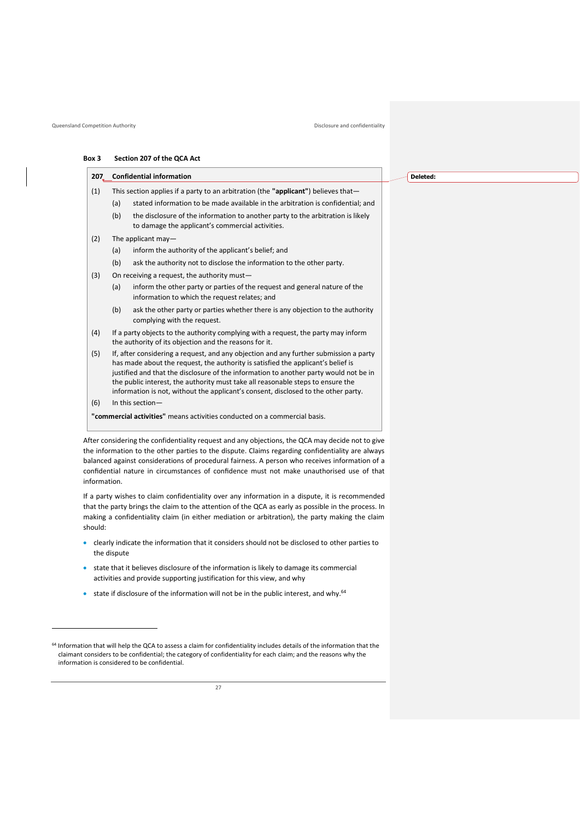#### Queensland Competition Authority **Disclosure and confidentiality** Disclosure and confidentiality

#### **Box 3 Section 207 of the QCA Act**

|     |     | 207_Confidential information                                                                                                                                                                                                                                                                                                                                                                                                                | <b>Dele</b> |
|-----|-----|---------------------------------------------------------------------------------------------------------------------------------------------------------------------------------------------------------------------------------------------------------------------------------------------------------------------------------------------------------------------------------------------------------------------------------------------|-------------|
| (1) |     | This section applies if a party to an arbitration (the "applicant") believes that-                                                                                                                                                                                                                                                                                                                                                          |             |
|     | (a) | stated information to be made available in the arbitration is confidential; and                                                                                                                                                                                                                                                                                                                                                             |             |
|     | (b) | the disclosure of the information to another party to the arbitration is likely<br>to damage the applicant's commercial activities.                                                                                                                                                                                                                                                                                                         |             |
| (2) |     | The applicant may-                                                                                                                                                                                                                                                                                                                                                                                                                          |             |
|     | (a) | inform the authority of the applicant's belief; and                                                                                                                                                                                                                                                                                                                                                                                         |             |
|     | (b) | ask the authority not to disclose the information to the other party.                                                                                                                                                                                                                                                                                                                                                                       |             |
| (3) |     | On receiving a request, the authority must-                                                                                                                                                                                                                                                                                                                                                                                                 |             |
|     | (a) | inform the other party or parties of the request and general nature of the<br>information to which the request relates; and                                                                                                                                                                                                                                                                                                                 |             |
|     | (b) | ask the other party or parties whether there is any objection to the authority<br>complying with the request.                                                                                                                                                                                                                                                                                                                               |             |
| (4) |     | If a party objects to the authority complying with a request, the party may inform<br>the authority of its objection and the reasons for it.                                                                                                                                                                                                                                                                                                |             |
| (5) |     | If, after considering a request, and any objection and any further submission a party<br>has made about the request, the authority is satisfied the applicant's belief is<br>justified and that the disclosure of the information to another party would not be in<br>the public interest, the authority must take all reasonable steps to ensure the<br>information is not, without the applicant's consent, disclosed to the other party. |             |
| (6) |     | In this section-                                                                                                                                                                                                                                                                                                                                                                                                                            |             |
|     |     | "commercial activities" means activities conducted on a commercial basis.                                                                                                                                                                                                                                                                                                                                                                   |             |
|     |     |                                                                                                                                                                                                                                                                                                                                                                                                                                             |             |

After considering the confidentiality request and any objections, the QCA may decide not to give the information to the other parties to the dispute. Claims regarding confidentiality are always balanced against considerations of procedural fairness. A person who receives information of a confidential nature in circumstances of confidence must not make unauthorised use of that information.

If a party wishes to claim confidentiality over any information in a dispute, it is recommended that the party brings the claim to the attention of the QCA as early as possible in the process. In making a confidentiality claim (in either mediation or arbitration), the party making the claim should:

- clearly indicate the information that it considers should not be disclosed to other parties to the dispute
- state that it believes disclosure of the information is likely to damage its commercial activities and provide supporting justification for this view, and why
- state if disclosure of the information will not be in the public interest, and why.<sup>64</sup>

#### **Deleted:**

<sup>64</sup> Information that will help the QCA to assess a claim for confidentiality includes details of the information that the claimant considers to be confidential; the category of confidentiality for each claim; and the reasons why the information is considered to be confidential.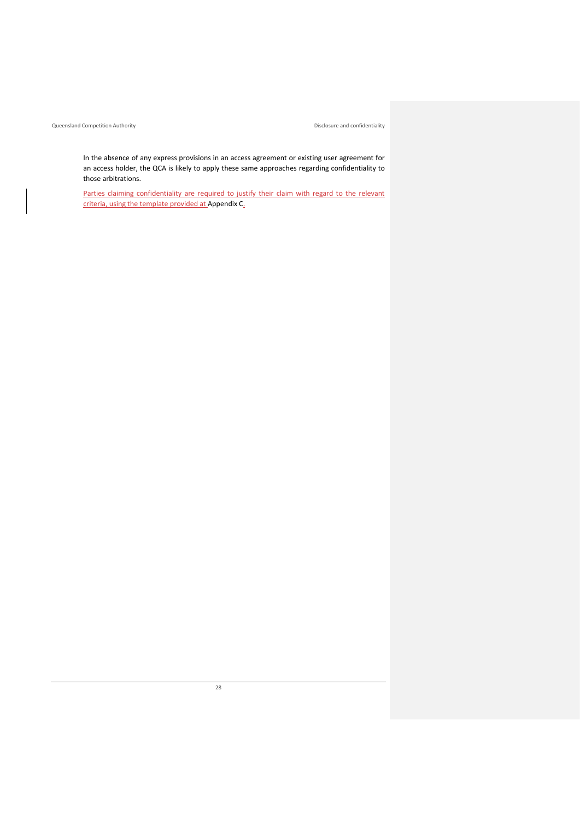Queensland Competition Authority Disclosure and confidentiality

In the absence of any express provisions in an access agreement or existing user agreement for an access holder, the QCA is likely to apply these same approaches regarding confidentiality to those arbitrations.

Parties claiming confidentiality are required to justify their claim with regard to the relevant criteria, using the template provided at [Appendix C.](#page-46-0)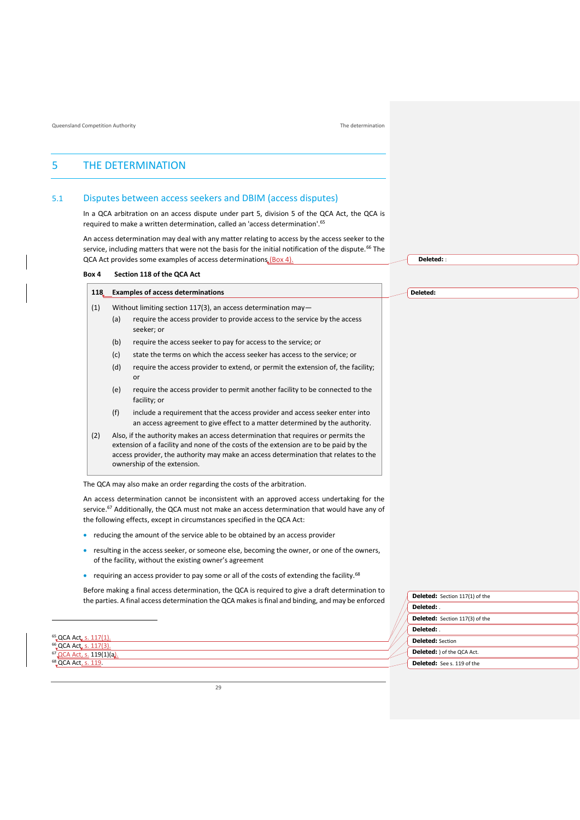## <span id="page-31-0"></span>5 THE DETERMINATION

#### <span id="page-31-1"></span>5.1 Disputes between access seekers and DBIM (access disputes)

In a QCA arbitration on an access dispute under part 5, division 5 of the QCA Act, the QCA is required to make a written determination, called an 'access determination'.<sup>65</sup>

An access determination may deal with any matter relating to access by the access seeker to the service, including matters that were not the basis for the initial notification of the dispute.<sup>66</sup> The QCA Act provides some examples of access determinations (Box 4).

#### **Box 4 Section 118 of the QCA Act**

| 118.                                                                                                                                                                                                            |                                                                  | <b>Examples of access determinations</b>                                                                                                                   |
|-----------------------------------------------------------------------------------------------------------------------------------------------------------------------------------------------------------------|------------------------------------------------------------------|------------------------------------------------------------------------------------------------------------------------------------------------------------|
| (1)                                                                                                                                                                                                             | Without limiting section $117(3)$ , an access determination may- |                                                                                                                                                            |
| (a)<br>seeker; or                                                                                                                                                                                               |                                                                  | require the access provider to provide access to the service by the access                                                                                 |
|                                                                                                                                                                                                                 | (b)                                                              | require the access seeker to pay for access to the service; or                                                                                             |
|                                                                                                                                                                                                                 | (c)                                                              | state the terms on which the access seeker has access to the service; or                                                                                   |
|                                                                                                                                                                                                                 | (d)                                                              | require the access provider to extend, or permit the extension of, the facility;<br>or                                                                     |
|                                                                                                                                                                                                                 | (e)                                                              | require the access provider to permit another facility to be connected to the<br>facility; or                                                              |
|                                                                                                                                                                                                                 | (f)                                                              | include a requirement that the access provider and access seeker enter into<br>an access agreement to give effect to a matter determined by the authority. |
| (2)<br>Also, if the authority makes an access determination that requires or permits the<br>extension of a facility and none of the costs of the extension are to be paid by the<br>ownership of the extension. |                                                                  | access provider, the authority may make an access determination that relates to the                                                                        |

The QCA may also make an order regarding the costs of the arbitration.

An access determination cannot be inconsistent with an approved access undertaking for the service.<sup>67</sup> Additionally, the QCA must not make an access determination that would have any of the following effects, except in circumstances specified in the QCA Act:

- reducing the amount of the service able to be obtained by an access provider
- resulting in the access seeker, or someone else, becoming the owner, or one of the owners, of the facility, without the existing owner's agreement
- requiring an access provider to pay some or all of the costs of extending the facility.<sup>68</sup>

Before making a final access determination, the QCA is required to give a draft determination to the parties. A final access determination the QCA makes is final and binding, and may be enforced

<sup>65</sup> QCA Act, s. 117(1) <sup>66</sup>, QCA Act, s. 117(3). <sup>67</sup> QCA Act, s. 119(1)(a). <sup>68</sup>, QCA Act, s. 119.

**Deleted:** :

**Deleted:** 

**Deleted:** Section 117(1) of the **Deleted:** . **Deleted:** Section 117(3) of the **Deleted:** . **Deleted:** Section **Deleted:** ) of the QCA Act. **Deleted:** See s. 119 of the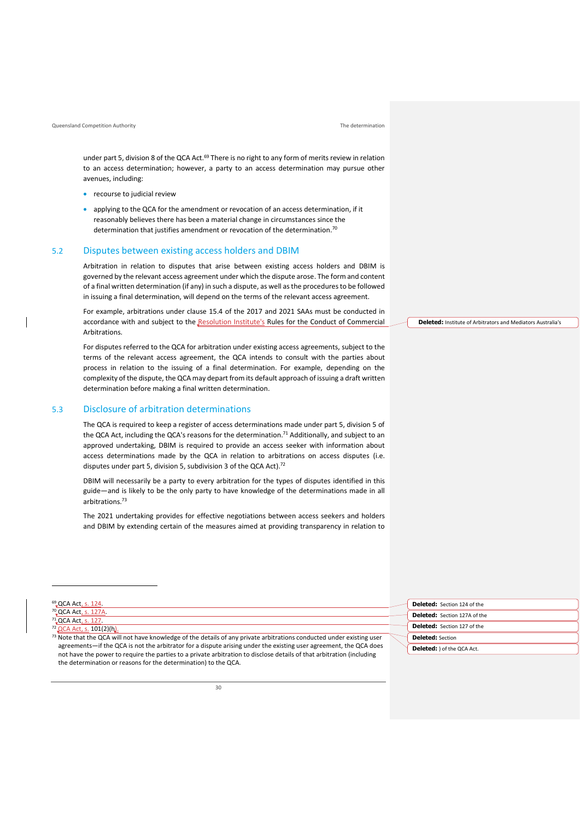#### Queensland Competition Authority The determination

<sup>69</sup> QCA Act, s. 124. <sup>70</sup> QCA Act, s. 127A. <sup>71</sup>, QCA Act, s. 127 QCA Act, s. 101(2)(h)

under part 5, division 8 of the QCA Act.<sup>69</sup> There is no right to any form of merits review in relation to an access determination; however, a party to an access determination may pursue other avenues, including:

- recourse to judicial review
- applying to the QCA for the amendment or revocation of an access determination, if it reasonably believes there has been a material change in circumstances since the determination that justifies amendment or revocation of the determination.<sup>70</sup>

#### <span id="page-32-0"></span>5.2 Disputes between existing access holders and DBIM

Arbitration in relation to disputes that arise between existing access holders and DBIM is governed by the relevant access agreement under which the dispute arose. The form and content of a final written determination (if any) in such a dispute, as well as the procedures to be followed in issuing a final determination, will depend on the terms of the relevant access agreement.

For example, arbitrations under clause 15.4 of the 2017 and 2021 SAAs must be conducted in accordance with and subject to the Resolution Institute's Rules for the Conduct of Commercial Arbitrations.

For disputes referred to the QCA for arbitration under existing access agreements, subject to the terms of the relevant access agreement, the QCA intends to consult with the parties about process in relation to the issuing of a final determination. For example, depending on the complexity of the dispute, the QCA may depart from its default approach of issuing a draft written determination before making a final written determination.

#### <span id="page-32-1"></span>5.3 Disclosure of arbitration determinations

The QCA is required to keep a register of access determinations made under part 5, division 5 of the QCA Act, including the QCA's reasons for the determination.<sup>71</sup> Additionally, and subject to an approved undertaking, DBIM is required to provide an access seeker with information about access determinations made by the QCA in relation to arbitrations on access disputes (i.e. disputes under part 5, division 5, subdivision 3 of the QCA Act).<sup>72</sup>

DBIM will necessarily be a party to every arbitration for the types of disputes identified in this guide—and is likely to be the only party to have knowledge of the determinations made in all arhitrations<sup>73</sup>

The 2021 undertaking provides for effective negotiations between access seekers and holders and DBIM by extending certain of the measures aimed at providing transparency in relation to

**Deleted:** Institute of Arbitrators and Mediators Australia's

| <sup>69</sup> QCA Act, s. 124                                                                                           | <b>Deleted:</b> Section 124 of the  |
|-------------------------------------------------------------------------------------------------------------------------|-------------------------------------|
| <sup>70</sup> QCA Act, s. 127A.                                                                                         | <b>Deleted:</b> Section 127A of the |
| <sup>71</sup> QCA Act, s. 127.                                                                                          |                                     |
| $^{72}$ QCA Act, s. 101(2)(h).                                                                                          | <b>Deleted:</b> Section 127 of the  |
| $73$ Note that the QCA will not have knowledge of the details of any private arbitrations conducted under existing user | <b>Deleted:</b> Section             |
| agreements—if the QCA is not the arbitrator for a dispute arising under the existing user agreement, the QCA does       | <b>Deleted:</b> ) of the QCA Act.   |
| not have the power to require the parties to a private arbitration to disclose details of that arbitration (including   |                                     |
| the determination or reasons for the determination) to the QCA.                                                         |                                     |
|                                                                                                                         |                                     |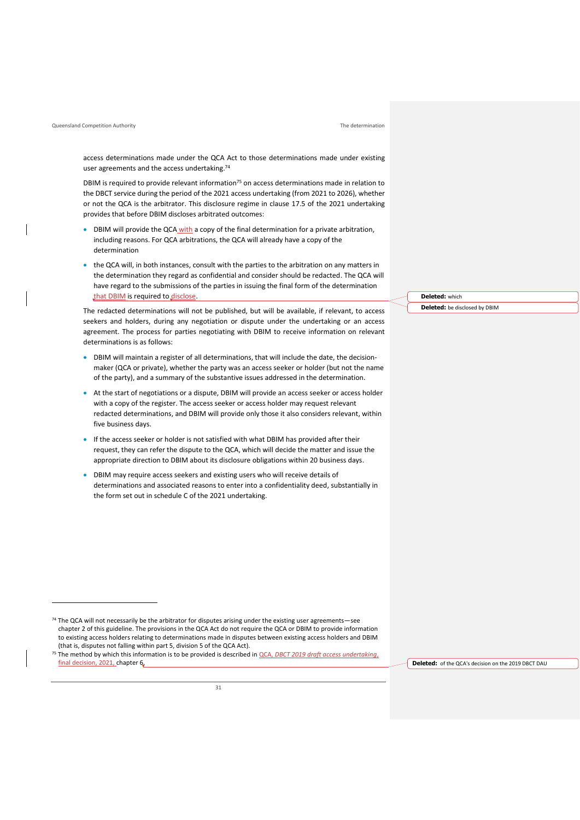#### Queensland Competition Authority The determination

access determinations made under the QCA Act to those determinations made under existing user agreements and the access undertaking.<sup>74</sup>

DBIM is required to provide relevant information $75$  on access determinations made in relation to the DBCT service during the period of the 2021 access undertaking (from 2021 to 2026), whether or not the QCA is the arbitrator. This disclosure regime in clause 17.5 of the 2021 undertaking provides that before DBIM discloses arbitrated outcomes:

- DBIM will provide the QCA with a copy of the final determination for a private arbitration, including reasons. For QCA arbitrations, the QCA will already have a copy of the determination
- the QCA will, in both instances, consult with the parties to the arbitration on any matters in the determination they regard as confidential and consider should be redacted. The QCA will have regard to the submissions of the parties in issuing the final form of the determination that DBIM is required to disclose.

The redacted determinations will not be published, but will be available, if relevant, to access seekers and holders, during any negotiation or dispute under the undertaking or an access agreement. The process for parties negotiating with DBIM to receive information on relevant determinations is as follows:

- DBIM will maintain a register of all determinations, that will include the date, the decisionmaker (QCA or private), whether the party was an access seeker or holder (but not the name of the party), and a summary of the substantive issues addressed in the determination.
- At the start of negotiations or a dispute, DBIM will provide an access seeker or access holder with a copy of the register. The access seeker or access holder may request relevant redacted determinations, and DBIM will provide only those it also considers relevant, within five business days.
- If the access seeker or holder is not satisfied with what DBIM has provided after their request, they can refer the dispute to the QCA, which will decide the matter and issue the appropriate direction to DBIM about its disclosure obligations within 20 business days.
- DBIM may require access seekers and existing users who will receive details of determinations and associated reasons to enter into a confidentiality deed, substantially in the form set out in schedule C of the 2021 undertaking.

**Deleted:** of the QCA's decision on the 2019 DBCT DAU

**Deleted:** which

**Deleted:** be disclosed by DBIM

<sup>74</sup> The QCA will not necessarily be the arbitrator for disputes arising under the existing user agreements-see chapter 2 of this guideline. The provisions in the QCA Act do not require the QCA or DBIM to provide information to existing access holders relating to determinations made in disputes between existing access holders and DBIM (that is, disputes not falling within part 5, division 5 of the QCA Act).

<sup>75</sup> The method by which this information is to be provided is described in QCA, *[DBCT 2019 draft access undertaking](https://www.qca.org.au/wp-content/uploads/2021/03/qca-final-decision.pdf)*, final decision, 2021, chapter 6.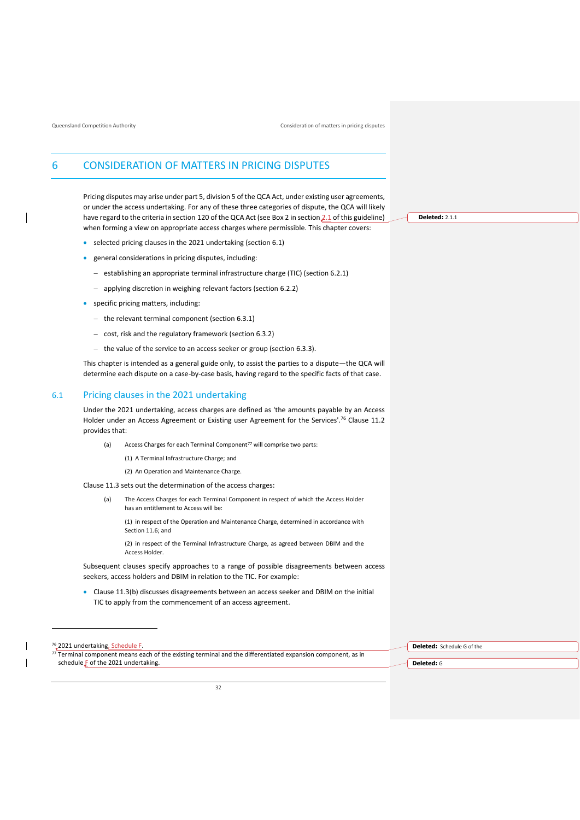## <span id="page-34-0"></span>6 CONSIDERATION OF MATTERS IN PRICING DISPUTES

Pricing disputes may arise under part 5, division 5 of the QCA Act, under existing user agreements, or under the access undertaking. For any of these three categories of dispute, the QCA will likely have regard to the criteria in section 120 of the QCA Act (see Box 2 in sectio[n 2](#page-7-2).1 of this guideline) when forming a view on appropriate access charges where permissible. This chapter covers:

- selected pricing clauses in the 2021 undertaking (section [6.1\)](#page-34-1)
- general considerations in pricing disputes, including:
	- − establishing an appropriate terminal infrastructure charge (TIC) (section [6.2.1\)](#page-35-1)
	- − applying discretion in weighing relevant factors (section [6.2.2\)](#page-36-0)
- specific pricing matters, including:
	- − the relevant terminal component (sectio[n 6.3.1\)](#page-37-1)
	- − cost, risk and the regulatory framework (sectio[n 6.3.2\)](#page-38-0)
	- − the value of the service to an access seeker or group (sectio[n 6.3.3\)](#page-38-1).

This chapter is intended as a general guide only, to assist the parties to a dispute—the QCA will determine each dispute on a case-by-case basis, having regard to the specific facts of that case.

#### <span id="page-34-1"></span>6.1 Pricing clauses in the 2021 undertaking

Under the 2021 undertaking, access charges are defined as 'the amounts payable by an Access Holder under an Access Agreement or Existing user Agreement for the Services'.<sup>76</sup> Clause 11.2 provides that:

- (a) Access Charges for each Terminal Component<sup>77</sup> will comprise two parts:
	- (1) A Terminal Infrastructure Charge; and
	- (2) An Operation and Maintenance Charge.

#### Clause 11.3 sets out the determination of the access charges:

(a) The Access Charges for each Terminal Component in respect of which the Access Holder has an entitlement to Access will be:

(1) in respect of the Operation and Maintenance Charge, determined in accordance with Section 11.6; and

(2) in respect of the Terminal Infrastructure Charge, as agreed between DBIM and the Access Holder.

Subsequent clauses specify approaches to a range of possible disagreements between access seekers, access holders and DBIM in relation to the TIC. For example:

• Clause 11.3(b) discusses disagreements between an access seeker and DBIM on the initial TIC to apply from the commencement of an access agreement.

<sup>76</sup> 2021 undertaking<u>, Schedule F.</u> 77 Terminal component means each of the existing terminal and the differentiated expansion component, as in

schedule **F** of the 2021 undertaking.

**Deleted:** Schedule G of the

**Deleted:** G

**Deleted:** [2.1.1](#page-7-2)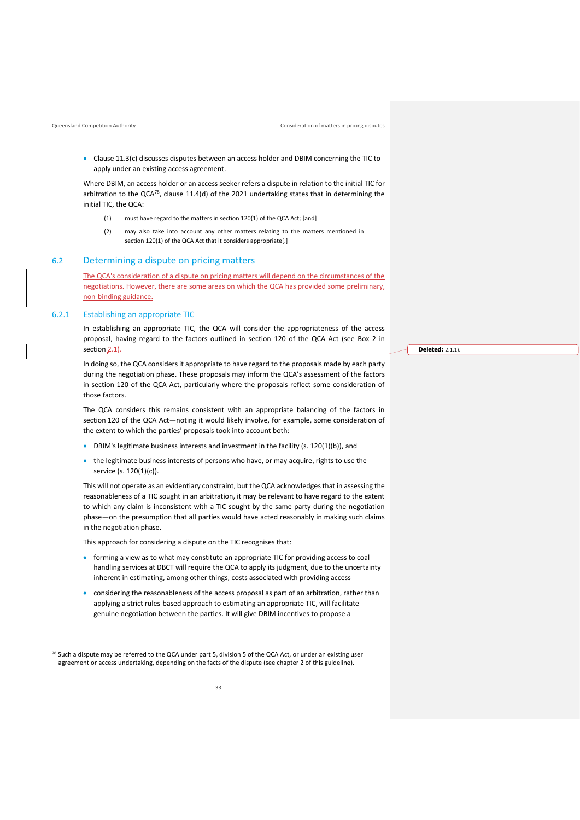• Clause 11.3(c) discusses disputes between an access holder and DBIM concerning the TIC to apply under an existing access agreement.

Where DBIM, an access holder or an access seeker refers a dispute in relation to the initial TIC for arbitration to the QCA<sup>78</sup>, clause 11.4(d) of the 2021 undertaking states that in determining the initial TIC, the QCA:

- (1) must have regard to the matters in section 120(1) of the QCA Act; [and]
- (2) may also take into account any other matters relating to the matters mentioned in section 120(1) of the QCA Act that it considers appropriate[.]

### <span id="page-35-0"></span>6.2 Determining a dispute on pricing matters

The QCA's consideration of a dispute on pricing matters will depend on the circumstances of the negotiations. However, there are some areas on which the QCA has provided some preliminary, non-binding guidance.

#### <span id="page-35-1"></span>6.2.1 Establishing an appropriate TIC

In establishing an appropriate TIC, the QCA will consider the appropriateness of the access proposal, having regard to the factors outlined in section 120 of the QCA Act (see Box 2 in section<sub>[2](#page-7-2).1</sub>).

In doing so, the QCA considers it appropriate to have regard to the proposals made by each party during the negotiation phase. These proposals may inform the QCA's assessment of the factors in section 120 of the QCA Act, particularly where the proposals reflect some consideration of those factors.

The QCA considers this remains consistent with an appropriate balancing of the factors in section 120 of the QCA Act—noting it would likely involve, for example, some consideration of the extent to which the parties' proposals took into account both:

- DBIM's legitimate business interests and investment in the facility (s. 120(1)(b)), and
- the legitimate business interests of persons who have, or may acquire, rights to use the service (s. 120(1)(c)).

This will not operate as an evidentiary constraint, but the QCA acknowledges that in assessing the reasonableness of a TIC sought in an arbitration, it may be relevant to have regard to the extent to which any claim is inconsistent with a TIC sought by the same party during the negotiation phase—on the presumption that all parties would have acted reasonably in making such claims in the negotiation phase.

This approach for considering a dispute on the TIC recognises that:

- forming a view as to what may constitute an appropriate TIC for providing access to coal handling services at DBCT will require the QCA to apply its judgment, due to the uncertainty inherent in estimating, among other things, costs associated with providing access
- considering the reasonableness of the access proposal as part of an arbitration, rather than applying a strict rules-based approach to estimating an appropriate TIC, will facilitate genuine negotiation between the parties. It will give DBIM incentives to propose a

 $78$  Such a dispute may be referred to the QCA under part 5, division 5 of the QCA Act, or under an existing user agreement or access undertaking, depending on the facts of the dispute (see chapter 2 of this guideline).

 $\overline{33}$ 

**Deleted:** [2.1.1\)](#page-7-2).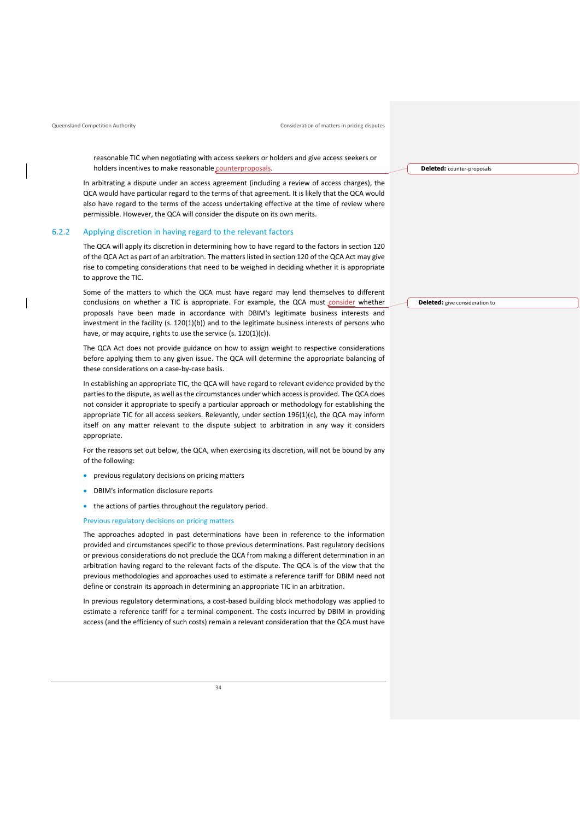reasonable TIC when negotiating with access seekers or holders and give access seekers or holders incentives to make reasonable counterproposals

In arbitrating a dispute under an access agreement (including a review of access charges), the QCA would have particular regard to the terms of that agreement. It is likely that the QCA would also have regard to the terms of the access undertaking effective at the time of review where permissible. However, the QCA will consider the dispute on its own merits.

#### <span id="page-36-0"></span>6.2.2 Applying discretion in having regard to the relevant factors

The QCA will apply its discretion in determining how to have regard to the factors in section 120 of the QCA Act as part of an arbitration. The matters listed in section 120 of the QCA Act may give rise to competing considerations that need to be weighed in deciding whether it is appropriate to approve the TIC.

Some of the matters to which the QCA must have regard may lend themselves to different conclusions on whether a TIC is appropriate. For example, the QCA must consider whether proposals have been made in accordance with DBIM's legitimate business interests and investment in the facility  $(s. 120(1)(b))$  and to the legitimate business interests of persons who have, or may acquire, rights to use the service (s. 120(1)(c)).

The QCA Act does not provide guidance on how to assign weight to respective considerations before applying them to any given issue. The QCA will determine the appropriate balancing of these considerations on a case-by-case basis.

In establishing an appropriate TIC, the QCA will have regard to relevant evidence provided by the parties to the dispute, as well as the circumstances under which access is provided. The QCA does not consider it appropriate to specify a particular approach or methodology for establishing the appropriate TIC for all access seekers. Relevantly, under section 196(1)(c), the QCA may inform itself on any matter relevant to the dispute subject to arbitration in any way it considers appropriate.

For the reasons set out below, the QCA, when exercising its discretion, will not be bound by any of the following:

- previous regulatory decisions on pricing matters
- DBIM's information disclosure reports
- the actions of parties throughout the regulatory period.

#### Previous regulatory decisions on pricing matters

The approaches adopted in past determinations have been in reference to the information provided and circumstances specific to those previous determinations. Past regulatory decisions or previous considerations do not preclude the QCA from making a different determination in an arbitration having regard to the relevant facts of the dispute. The QCA is of the view that the previous methodologies and approaches used to estimate a reference tariff for DBIM need not define or constrain its approach in determining an appropriate TIC in an arbitration.

In previous regulatory determinations, a cost-based building block methodology was applied to estimate a reference tariff for a terminal component. The costs incurred by DBIM in providing access (and the efficiency of such costs) remain a relevant consideration that the QCA must have **Deleted:** give consideration to

**Deleted:** counter-proposals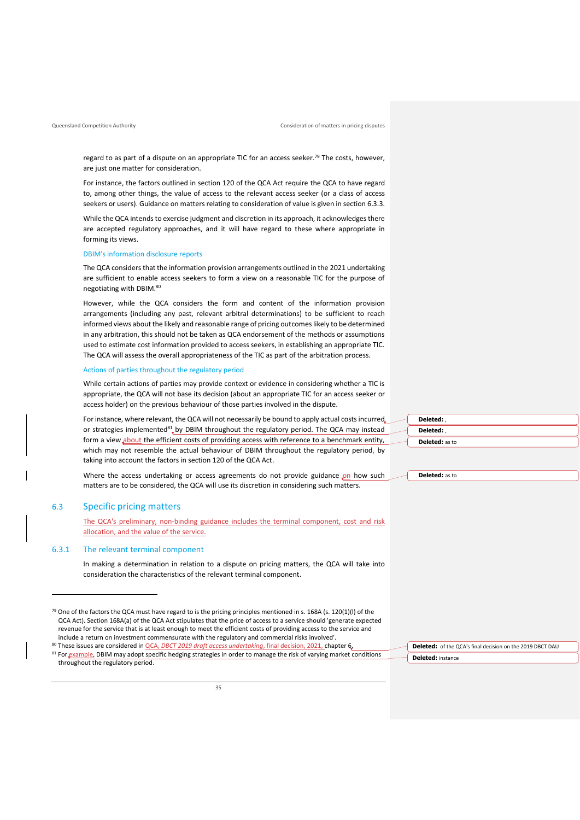regard to as part of a dispute on an appropriate TIC for an access seeker.<sup>79</sup> The costs, however, are just one matter for consideration.

For instance, the factors outlined in section 120 of the QCA Act require the QCA to have regard to, among other things, the value of access to the relevant access seeker (or a class of access seekers or users). Guidance on matters relating to consideration of value is given in section [6.3.3.](#page-38-1)

While the QCA intends to exercise judgment and discretion in its approach, it acknowledges there are accepted regulatory approaches, and it will have regard to these where appropriate in forming its views.

#### DBIM's information disclosure reports

The QCA considers that the information provision arrangements outlined in the 2021 undertaking are sufficient to enable access seekers to form a view on a reasonable TIC for the purpose of negotiating with DBIM. 80

However, while the QCA considers the form and content of the information provision arrangements (including any past, relevant arbitral determinations) to be sufficient to reach informed views about the likely and reasonable range of pricing outcomes likely to be determined in any arbitration, this should not be taken as QCA endorsement of the methods or assumptions used to estimate cost information provided to access seekers, in establishing an appropriate TIC. The QCA will assess the overall appropriateness of the TIC as part of the arbitration process.

#### Actions of parties throughout the regulatory period

While certain actions of parties may provide context or evidence in considering whether a TIC is appropriate, the QCA will not base its decision (about an appropriate TIC for an access seeker or access holder) on the previous behaviour of those parties involved in the dispute.

For instance, where relevant, the QCA will not necessarily be bound to apply actual costs incurred or strategies implemented<sup>81</sup>, by DBIM throughout the regulatory period. The QCA may instead form a view about the efficient costs of providing access with reference to a benchmark entity, which may not resemble the actual behaviour of DBIM throughout the regulatory period, by taking into account the factors in section 120 of the QCA Act.

Where the access undertaking or access agreements do not provide guidance on how such matters are to be considered, the QCA will use its discretion in considering such matters.

## <span id="page-37-0"></span>6.3 Specific pricing matters

The QCA's preliminary, non-binding guidance includes the terminal component, cost and risk allocation, and the value of the service.

#### <span id="page-37-1"></span>6.3.1 The relevant terminal component

In making a determination in relation to a dispute on pricing matters, the QCA will take into consideration the characteristics of the relevant terminal component.

<sup>80</sup> These issues are considered in QCA, *[DBCT 2019 draft access undertaking](https://www.qca.org.au/wp-content/uploads/2021/03/qca-final-decision.pdf)*, final decision, 2021, chapter 6. 81 For example, DBIM may adopt specific hedging strategies in order to manage the risk of varying market conditions throughout the regulatory period.

| Deleted:              |  |
|-----------------------|--|
| Deleted:              |  |
| <b>Deleted:</b> as to |  |

| <b>Deleted:</b> as to<br>. |  |
|----------------------------|--|
|----------------------------|--|

**Deleted:** of the QCA's final decision on the 2019 DBCT DAU **Deleted:** instance

<sup>79</sup> One of the factors the QCA must have regard to is the pricing principles mentioned in s. 168A (s. 120(1)(I) of the QCA Act). Section 168A(a) of the QCA Act stipulates that the price of access to a service should 'generate expected revenue for the service that is at least enough to meet the efficient costs of providing access to the service and include a return on investment commensurate with the regulatory and commercial risks involved'.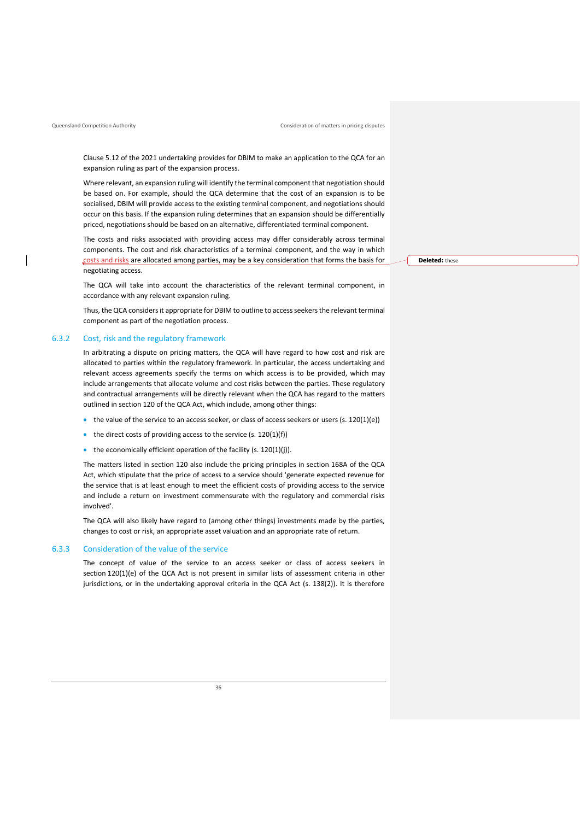Clause 5.12 of the 2021 undertaking provides for DBIM to make an application to the QCA for an expansion ruling as part of the expansion process.

Where relevant, an expansion ruling will identify the terminal component that negotiation should be based on. For example, should the QCA determine that the cost of an expansion is to be socialised, DBIM will provide access to the existing terminal component, and negotiations should occur on this basis. If the expansion ruling determines that an expansion should be differentially priced, negotiations should be based on an alternative, differentiated terminal component.

The costs and risks associated with providing access may differ considerably across terminal components. The cost and risk characteristics of a terminal component, and the way in which costs and risks are allocated among parties, may be a key consideration that forms the basis for negotiating access.

The QCA will take into account the characteristics of the relevant terminal component, in accordance with any relevant expansion ruling.

Thus, the QCA considers it appropriate for DBIM to outline to access seekers the relevant terminal component as part of the negotiation process.

#### <span id="page-38-0"></span>6.3.2 Cost, risk and the regulatory framework

In arbitrating a dispute on pricing matters, the QCA will have regard to how cost and risk are allocated to parties within the regulatory framework. In particular, the access undertaking and relevant access agreements specify the terms on which access is to be provided, which may include arrangements that allocate volume and cost risks between the parties. These regulatory and contractual arrangements will be directly relevant when the QCA has regard to the matters outlined in section 120 of the QCA Act, which include, among other things:

- the value of the service to an access seeker, or class of access seekers or users (s. 120(1)(e))
- the direct costs of providing access to the service  $(s. 120(1)(f))$
- the economically efficient operation of the facility (s. 120(1)(j)).

The matters listed in section 120 also include the pricing principles in section 168A of the QCA Act, which stipulate that the price of access to a service should 'generate expected revenue for the service that is at least enough to meet the efficient costs of providing access to the service and include a return on investment commensurate with the regulatory and commercial risks involved'.

The QCA will also likely have regard to (among other things) investments made by the parties, changes to cost or risk, an appropriate asset valuation and an appropriate rate of return.

#### <span id="page-38-1"></span>6.3.3 Consideration of the value of the service

The concept of value of the service to an access seeker or class of access seekers in section 120(1)(e) of the QCA Act is not present in similar lists of assessment criteria in other jurisdictions, or in the undertaking approval criteria in the QCA Act (s. 138(2)). It is therefore **Deleted:** these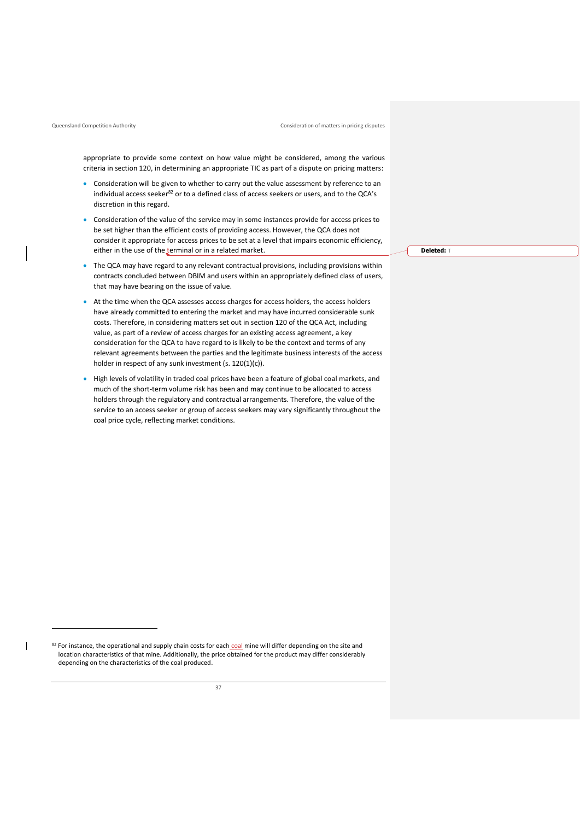$\overline{\phantom{a}}$ 

Queensland Competition Authority Consideration of matters in pricing disputes

appropriate to provide some context on how value might be considered, among the various criteria in section 120, in determining an appropriate TIC as part of a dispute on pricing matters:

- Consideration will be given to whether to carry out the value assessment by reference to an individual access seeker<sup>82</sup> or to a defined class of access seekers or users, and to the QCA's discretion in this regard.
- Consideration of the value of the service may in some instances provide for access prices to be set higher than the efficient costs of providing access. However, the QCA does not consider it appropriate for access prices to be set at a level that impairs economic efficiency, either in the use of the terminal or in a related market.
- The QCA may have regard to any relevant contractual provisions, including provisions within contracts concluded between DBIM and users within an appropriately defined class of users, that may have bearing on the issue of value.
- At the time when the QCA assesses access charges for access holders, the access holders have already committed to entering the market and may have incurred considerable sunk costs. Therefore, in considering matters set out in section 120 of the QCA Act, including value, as part of a review of access charges for an existing access agreement, a key consideration for the QCA to have regard to is likely to be the context and terms of any relevant agreements between the parties and the legitimate business interests of the access holder in respect of any sunk investment (s. 120(1)(c)).
- High levels of volatility in traded coal prices have been a feature of global coal markets, and much of the short-term volume risk has been and may continue to be allocated to access holders through the regulatory and contractual arrangements. Therefore, the value of the service to an access seeker or group of access seekers may vary significantly throughout the coal price cycle, reflecting market conditions.

**Deleted:** T

<sup>82</sup> For instance, the operational and supply chain costs for each coal mine will differ depending on the site and location characteristics of that mine. Additionally, the price obtained for the product may differ considerably depending on the characteristics of the coal produced.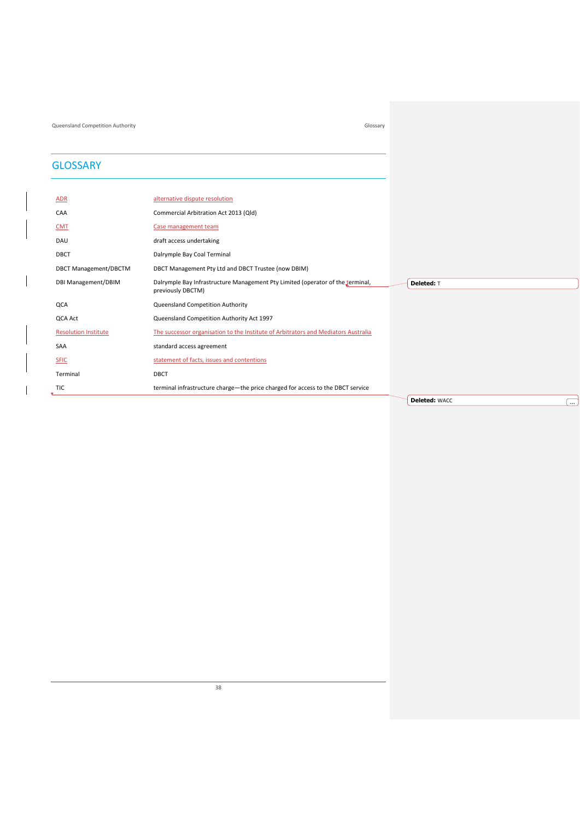Queensland Competition Authority Glossary

## <span id="page-40-0"></span>**GLOSSARY**

| <b>ADR</b>                   | alternative dispute resolution                                                                      |                                  |
|------------------------------|-----------------------------------------------------------------------------------------------------|----------------------------------|
| CAA                          | Commercial Arbitration Act 2013 (Qld)                                                               |                                  |
| <b>CMT</b>                   | Case management team                                                                                |                                  |
| DAU                          | draft access undertaking                                                                            |                                  |
| DBCT                         | Dalrymple Bay Coal Terminal                                                                         |                                  |
| <b>DBCT Management/DBCTM</b> | DBCT Management Pty Ltd and DBCT Trustee (now DBIM)                                                 |                                  |
| DBI Management/DBIM          | Dalrymple Bay Infrastructure Management Pty Limited (operator of the terminal,<br>previously DBCTM) | Deleted: T                       |
| QCA                          | Queensland Competition Authority                                                                    |                                  |
| QCA Act                      | Queensland Competition Authority Act 1997                                                           |                                  |
| <b>Resolution Institute</b>  | The successor organisation to the Institute of Arbitrators and Mediators Australia                  |                                  |
| SAA                          | standard access agreement                                                                           |                                  |
| <b>SFIC</b>                  | statement of facts, issues and contentions                                                          |                                  |
| Terminal                     | DBCT                                                                                                |                                  |
| <b>TIC</b>                   | terminal infrastructure charge—the price charged for access to the DBCT service                     |                                  |
|                              |                                                                                                     | <b>Deleted: WACC</b><br>$\cdots$ |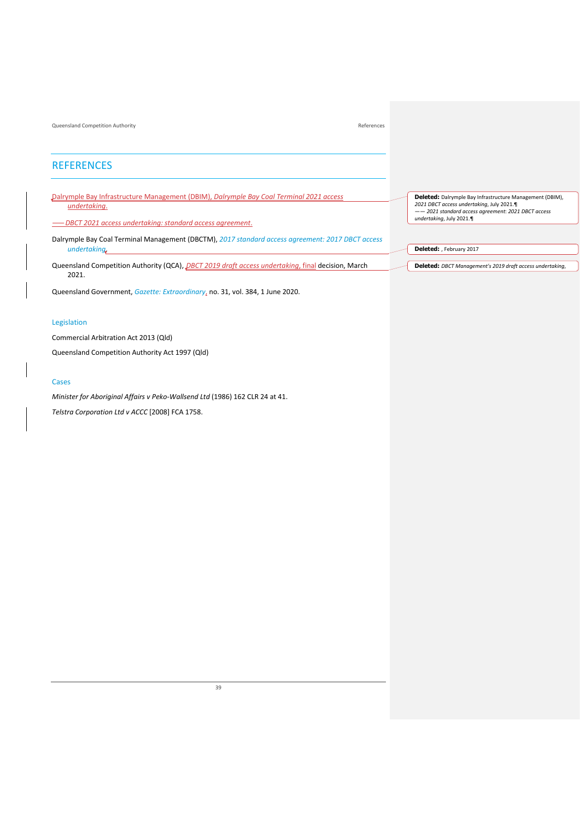## <span id="page-41-0"></span>**REFERENCES**

Dalrymple Bay Infrastructure Management (DBIM), *[Dalrymple Bay Coal Terminal](https://www.qca.org.au/project/dalrymple-bay-coal-terminal/2019-draft-access-undertaking/) [2021 access](https://www.qca.org.au/wp-content/uploads/2021/08/2021-au.pdf)  [undertaking](https://www.qca.org.au/wp-content/uploads/2021/08/2021-au.pdf)*.

——*DBCT 2021 [access undertaking: standard access agreement](https://www.qca.org.au/project/dalrymple-bay-coal-terminal/2019-draft-access-undertaking/)*.

Dalrymple Bay Coal Terminal Management (DBCTM), *[2017 standard access agreement:](https://www.qca.org.au/wp-content/uploads/2019/05/31354_DBCTM2015DAUSAAclean-1226205_1-1.pdf) 2017 DBCT access undertaking*.

Queensland Competition Authority (QCA), *[DBCT 2019 draft access undertaking](https://www.qca.org.au/wp-content/uploads/2021/03/qca-final-decision.pdf)*, final decision, March 2021.

Queensland Government, *[Gazette: Extraordinary](https://www.publications.qld.gov.au/dataset/extraordinary-gazettes-june-2020/resource/9c57ea19-3f3f-4650-8836-6ff45f1a9439)*, no. 31, vol. 384, 1 June 2020.

#### Legislation

Commercial Arbitration Act 2013 (Qld)

Queensland Competition Authority Act 1997 (Qld)

#### Cases

*Minister for Aboriginal Affairs v Peko-Wallsend Ltd* (1986) 162 CLR 24 at 41.

*Telstra Corporation Ltd v ACCC* [2008] FCA 1758.

**Deleted:** Dalrymple Bay Infrastructure Management (DBIM), *2021 DBCT access undertaking*, July 2021.¶ —— *2021 standard access agreement*: *2021 DBCT access undertaking*, July 2021.¶

**Deleted:** , February 2017

**Deleted:** *DBCT Management's 2019 draft access undertaking*,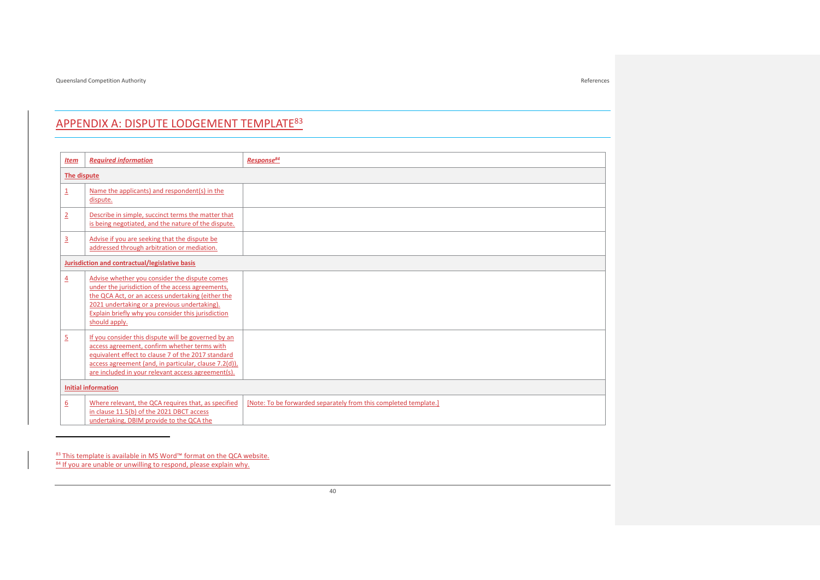## APPENDIX A: DISPUTE LODGEMENT TEMPLATE<sup>83</sup>

| <b>Item</b>      | <b>Reauired information</b>                                                                                                                                                                                                                                                   | Response <sup>84</sup>                                           |  |
|------------------|-------------------------------------------------------------------------------------------------------------------------------------------------------------------------------------------------------------------------------------------------------------------------------|------------------------------------------------------------------|--|
| The dispute      |                                                                                                                                                                                                                                                                               |                                                                  |  |
| $\overline{1}$   | Name the applicants) and respondent(s) in the<br>dispute.                                                                                                                                                                                                                     |                                                                  |  |
| $\overline{2}$   | Describe in simple, succinct terms the matter that<br>is being negotiated, and the nature of the dispute.                                                                                                                                                                     |                                                                  |  |
| $\overline{3}$   | Advise if you are seeking that the dispute be<br>addressed through arbitration or mediation.                                                                                                                                                                                  |                                                                  |  |
|                  | Jurisdiction and contractual/legislative basis                                                                                                                                                                                                                                |                                                                  |  |
| $\overline{4}$   | Advise whether you consider the dispute comes<br>under the jurisdiction of the access agreements,<br>the QCA Act, or an access undertaking (either the<br>2021 undertaking or a previous undertaking).<br>Explain briefly why you consider this jurisdiction<br>should apply. |                                                                  |  |
| $\overline{2}$   | If you consider this dispute will be governed by an<br>access agreement, confirm whether terms with<br>equivalent effect to clause 7 of the 2017 standard<br>access agreement (and, in particular, clause 7.2(d)),<br>are included in your relevant access agreement(s).      |                                                                  |  |
|                  | <b>Initial information</b>                                                                                                                                                                                                                                                    |                                                                  |  |
| $6 \overline{6}$ | Where relevant, the QCA requires that, as specified<br>in clause 11.5(b) of the 2021 DBCT access<br>undertaking, DBIM provide to the QCA the                                                                                                                                  | [Note: To be forwarded separately from this completed template.] |  |

## <span id="page-42-0"></span>83 This template is available in MS Word™ format on the QCA website.

84 If you are unable or unwilling to respond, please explain why.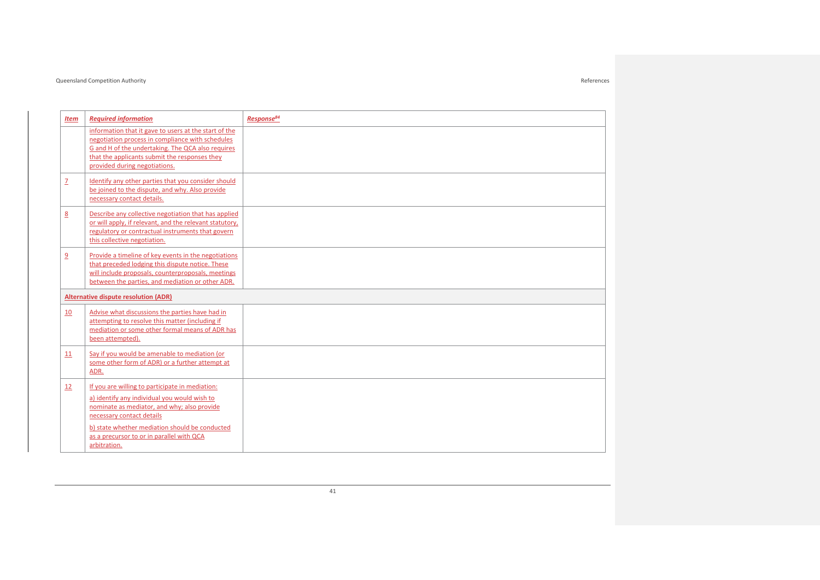| Item                     | <b>Required information</b>                                                                                                                                                                                                                                                | Response <sup>84</sup> |  |
|--------------------------|----------------------------------------------------------------------------------------------------------------------------------------------------------------------------------------------------------------------------------------------------------------------------|------------------------|--|
|                          | information that it gave to users at the start of the<br>negotiation process in compliance with schedules<br>G and H of the undertaking. The QCA also requires<br>that the applicants submit the responses they<br>provided during negotiations.                           |                        |  |
| $\underline{\mathsf{Z}}$ | Identify any other parties that you consider should<br>be joined to the dispute, and why. Also provide<br>necessary contact details.                                                                                                                                       |                        |  |
| 8                        | Describe any collective negotiation that has applied<br>or will apply, if relevant, and the relevant statutory.<br>regulatory or contractual instruments that govern<br>this collective negotiation.                                                                       |                        |  |
| $\overline{9}$           | Provide a timeline of key events in the negotiations<br>that preceded lodging this dispute notice. These<br>will include proposals, counterproposals, meetings<br>between the parties, and mediation or other ADR.                                                         |                        |  |
|                          | <b>Alternative dispute resolution (ADR)</b>                                                                                                                                                                                                                                |                        |  |
| <b>10</b>                | Advise what discussions the parties have had in<br>attempting to resolve this matter (including if<br>mediation or some other formal means of ADR has<br>been attempted).                                                                                                  |                        |  |
| 11                       | Say if you would be amenable to mediation (or<br>some other form of ADR) or a further attempt at<br>ADR.                                                                                                                                                                   |                        |  |
| 12                       | If you are willing to participate in mediation:<br>a) identify any individual you would wish to<br>nominate as mediator, and why; also provide<br>necessary contact details<br>b) state whether mediation should be conducted<br>as a precursor to or in parallel with QCA |                        |  |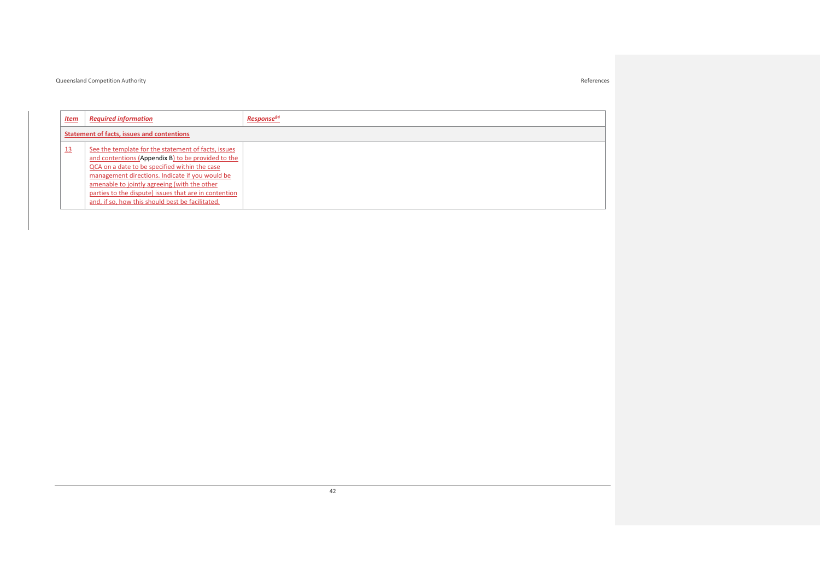| <u>Item</u>                                | <b>Required information</b>                                                                                                                                                                                                                                                                                                                                                | Response <sup>84</sup> |
|--------------------------------------------|----------------------------------------------------------------------------------------------------------------------------------------------------------------------------------------------------------------------------------------------------------------------------------------------------------------------------------------------------------------------------|------------------------|
| Statement of facts, issues and contentions |                                                                                                                                                                                                                                                                                                                                                                            |                        |
| 13                                         | See the template for the statement of facts, issues<br>and contentions (Appendix B) to be provided to the<br>QCA on a date to be specified within the case<br>management directions. Indicate if you would be<br>amenable to jointly agreeing (with the other<br>parties to the dispute) issues that are in contention<br>and, if so, how this should best be facilitated. |                        |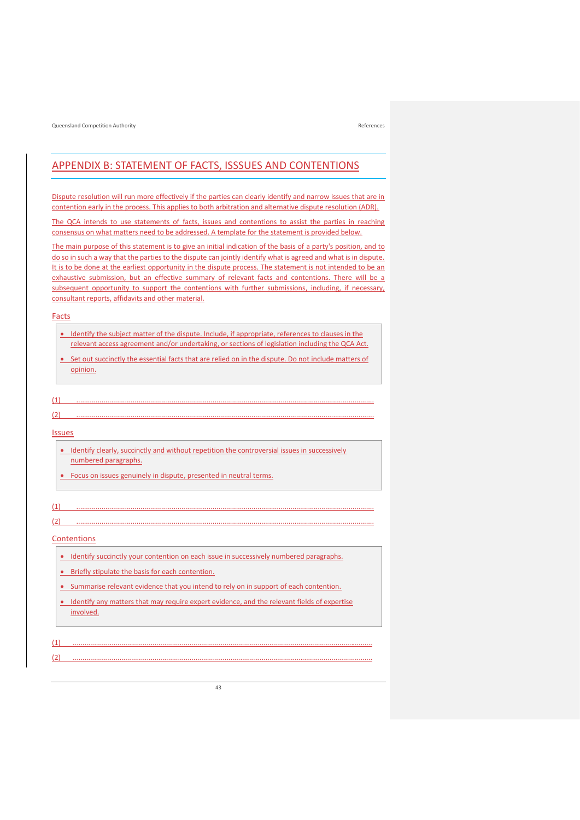## <span id="page-45-1"></span><span id="page-45-0"></span>APPENDIX B: STATEMENT OF FACTS, ISSSUES AND CONTENTIONS

Dispute resolution will run more effectively if the parties can clearly identify and narrow issues that are in contention early in the process. This applies to both arbitration and alternative dispute resolution (ADR).

The QCA intends to use statements of facts, issues and contentions to assist the parties in reaching consensus on what matters need to be addressed. A template for the statement is provided below.

The main purpose of this statement is to give an initial indication of the basis of a party's position, and to do so in such a way that the parties to the dispute can jointly identify what is agreed and what is in dispute. It is to be done at the earliest opportunity in the dispute process. The statement is not intended to be an exhaustive submission, but an effective summary of relevant facts and contentions. There will be a subsequent opportunity to support the contentions with further submissions, including, if necessary, consultant reports, affidavits and other material.

#### **Facts**

- Identify the subject matter of the dispute. Include, if appropriate, references to clauses in the relevant access agreement and/or undertaking, or sections of legislation including the QCA Act.
- Set out succinctly the essential facts that are relied on in the dispute. Do not include matters of opinion.

#### (1) .........................................................................................................................................................

#### (2) .........................................................................................................................................................

## Issues

- Identify clearly, succinctly and without repetition the controversial issues in successively numbered paragraphs.
- Focus on issues genuinely in dispute, presented in neutral terms.

### (1) .........................................................................................................................................................

## Contentions

• Identify succinctly your contention on each issue in successively numbered paragraphs.

(2) .........................................................................................................................................................

- Briefly stipulate the basis for each contention.
- Summarise relevant evidence that you intend to rely on in support of each contention.
- Identify any matters that may require expert evidence, and the relevant fields of expertise involved.

## (1) ..........................................................................................................................................................